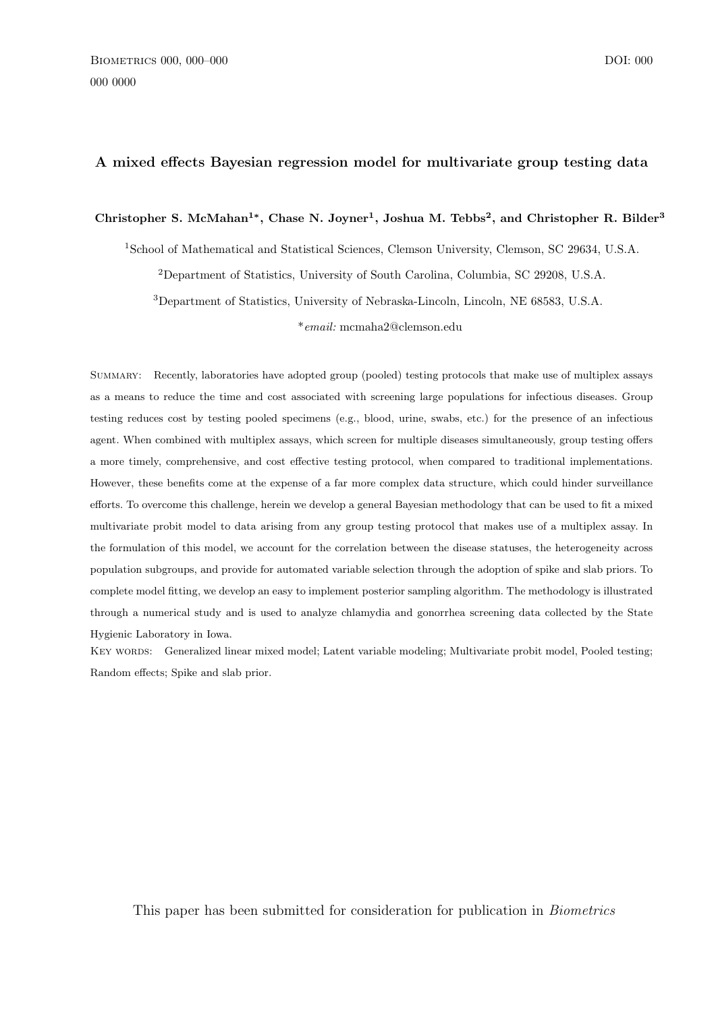## A mixed effects Bayesian regression model for multivariate group testing data

## Christopher S. McMahan<sup>1\*</sup>, Chase N. Joyner<sup>1</sup>, Joshua M. Tebbs<sup>2</sup>, and Christopher R. Bilder<sup>3</sup>

<sup>1</sup>School of Mathematical and Statistical Sciences, Clemson University, Clemson, SC 29634, U.S.A.

<sup>2</sup>Department of Statistics, University of South Carolina, Columbia, SC 29208, U.S.A.

<sup>3</sup>Department of Statistics, University of Nebraska-Lincoln, Lincoln, NE 68583, U.S.A.

\*email: mcmaha2@clemson.edu

Summary: Recently, laboratories have adopted group (pooled) testing protocols that make use of multiplex assays as a means to reduce the time and cost associated with screening large populations for infectious diseases. Group testing reduces cost by testing pooled specimens (e.g., blood, urine, swabs, etc.) for the presence of an infectious agent. When combined with multiplex assays, which screen for multiple diseases simultaneously, group testing offers a more timely, comprehensive, and cost effective testing protocol, when compared to traditional implementations. However, these benefits come at the expense of a far more complex data structure, which could hinder surveillance efforts. To overcome this challenge, herein we develop a general Bayesian methodology that can be used to fit a mixed multivariate probit model to data arising from any group testing protocol that makes use of a multiplex assay. In the formulation of this model, we account for the correlation between the disease statuses, the heterogeneity across population subgroups, and provide for automated variable selection through the adoption of spike and slab priors. To complete model fitting, we develop an easy to implement posterior sampling algorithm. The methodology is illustrated through a numerical study and is used to analyze chlamydia and gonorrhea screening data collected by the State Hygienic Laboratory in Iowa.

KEY WORDS: Generalized linear mixed model; Latent variable modeling; Multivariate probit model, Pooled testing; Random effects; Spike and slab prior.

This paper has been submitted for consideration for publication in Biometrics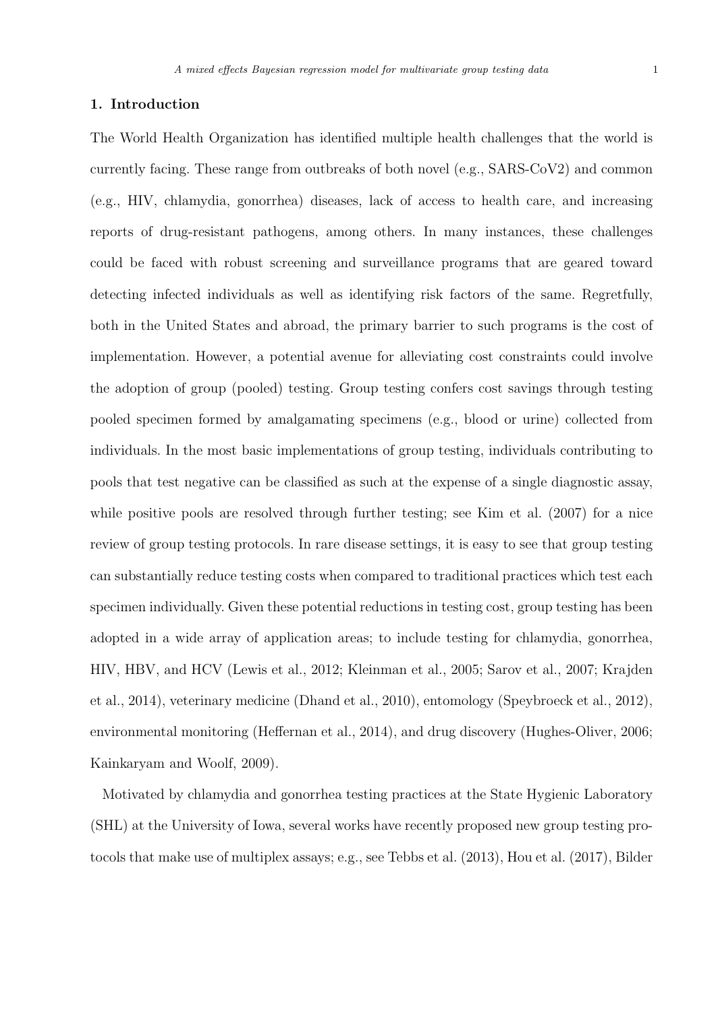The World Health Organization has identified multiple health challenges that the world is currently facing. These range from outbreaks of both novel (e.g., SARS-CoV2) and common (e.g., HIV, chlamydia, gonorrhea) diseases, lack of access to health care, and increasing reports of drug-resistant pathogens, among others. In many instances, these challenges could be faced with robust screening and surveillance programs that are geared toward detecting infected individuals as well as identifying risk factors of the same. Regretfully, both in the United States and abroad, the primary barrier to such programs is the cost of implementation. However, a potential avenue for alleviating cost constraints could involve the adoption of group (pooled) testing. Group testing confers cost savings through testing pooled specimen formed by amalgamating specimens (e.g., blood or urine) collected from individuals. In the most basic implementations of group testing, individuals contributing to pools that test negative can be classified as such at the expense of a single diagnostic assay, while positive pools are resolved through further testing; see Kim et al. (2007) for a nice review of group testing protocols. In rare disease settings, it is easy to see that group testing can substantially reduce testing costs when compared to traditional practices which test each specimen individually. Given these potential reductions in testing cost, group testing has been adopted in a wide array of application areas; to include testing for chlamydia, gonorrhea, HIV, HBV, and HCV (Lewis et al., 2012; Kleinman et al., 2005; Sarov et al., 2007; Krajden et al., 2014), veterinary medicine (Dhand et al., 2010), entomology (Speybroeck et al., 2012), environmental monitoring (Heffernan et al., 2014), and drug discovery (Hughes-Oliver, 2006; Kainkaryam and Woolf, 2009).

Motivated by chlamydia and gonorrhea testing practices at the State Hygienic Laboratory (SHL) at the University of Iowa, several works have recently proposed new group testing protocols that make use of multiplex assays; e.g., see Tebbs et al. (2013), Hou et al. (2017), Bilder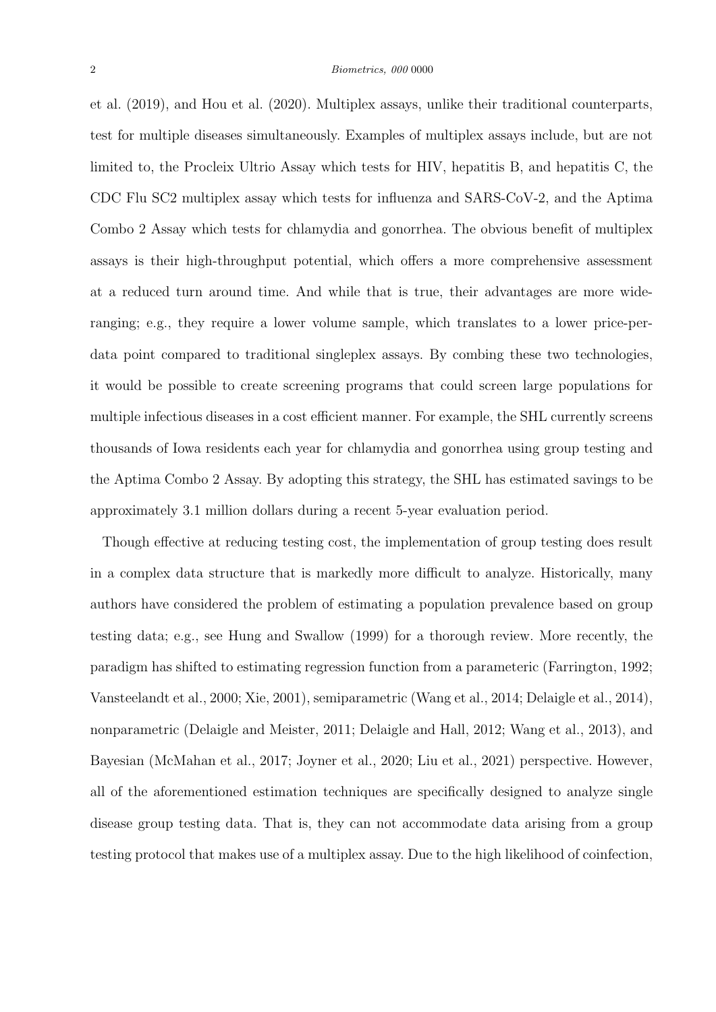et al. (2019), and Hou et al. (2020). Multiplex assays, unlike their traditional counterparts, test for multiple diseases simultaneously. Examples of multiplex assays include, but are not limited to, the Procleix Ultrio Assay which tests for HIV, hepatitis B, and hepatitis C, the CDC Flu SC2 multiplex assay which tests for influenza and SARS-CoV-2, and the Aptima Combo 2 Assay which tests for chlamydia and gonorrhea. The obvious benefit of multiplex assays is their high-throughput potential, which offers a more comprehensive assessment at a reduced turn around time. And while that is true, their advantages are more wideranging; e.g., they require a lower volume sample, which translates to a lower price-perdata point compared to traditional singleplex assays. By combing these two technologies, it would be possible to create screening programs that could screen large populations for multiple infectious diseases in a cost efficient manner. For example, the SHL currently screens thousands of Iowa residents each year for chlamydia and gonorrhea using group testing and the Aptima Combo 2 Assay. By adopting this strategy, the SHL has estimated savings to be approximately 3.1 million dollars during a recent 5-year evaluation period.

Though effective at reducing testing cost, the implementation of group testing does result in a complex data structure that is markedly more difficult to analyze. Historically, many authors have considered the problem of estimating a population prevalence based on group testing data; e.g., see Hung and Swallow (1999) for a thorough review. More recently, the paradigm has shifted to estimating regression function from a parameteric (Farrington, 1992; Vansteelandt et al., 2000; Xie, 2001), semiparametric (Wang et al., 2014; Delaigle et al., 2014), nonparametric (Delaigle and Meister, 2011; Delaigle and Hall, 2012; Wang et al., 2013), and Bayesian (McMahan et al., 2017; Joyner et al., 2020; Liu et al., 2021) perspective. However, all of the aforementioned estimation techniques are specifically designed to analyze single disease group testing data. That is, they can not accommodate data arising from a group testing protocol that makes use of a multiplex assay. Due to the high likelihood of coinfection,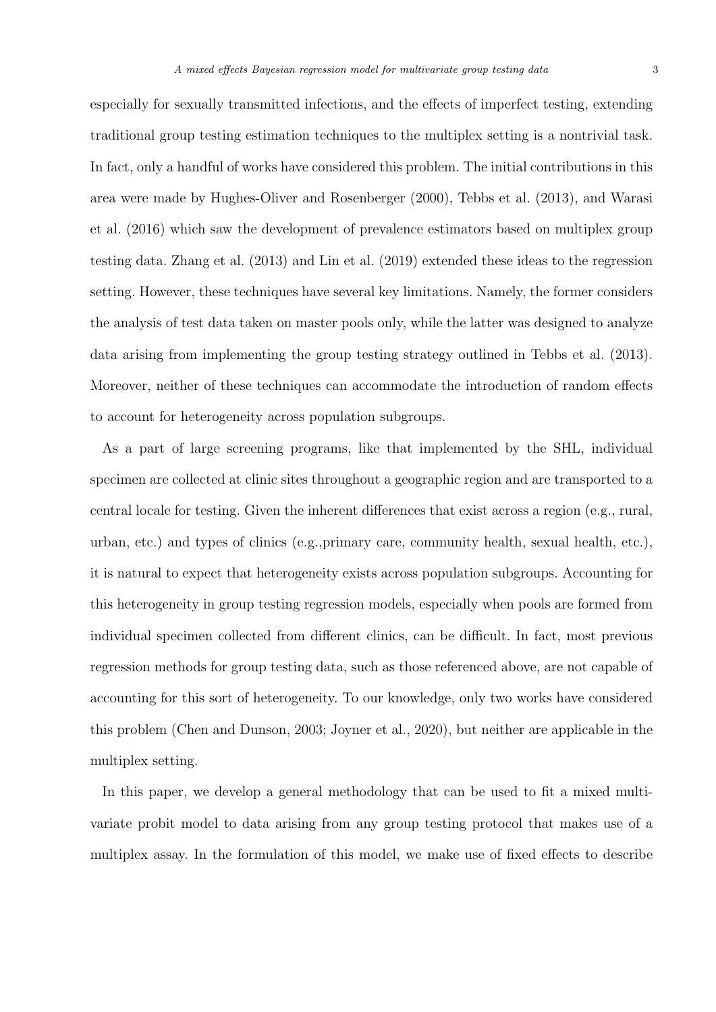especially for sexually transmitted infections, and the effects of imperfect testing, extending traditional group testing estimation techniques to the multiplex setting is a nontrivial task. In fact, only a handful of works have considered this problem. The initial contributions in this area were made by Hughes-Oliver and Rosenberger (2000), Tebbs et al. (2013), and Warasi et al. (2016) which saw the development of prevalence estimators based on multiplex group testing data. Zhang et al. (2013) and Lin et al. (2019) extended these ideas to the regression setting. However, these techniques have several key limitations. Namely, the former considers the analysis of test data taken on master pools only, while the latter was designed to analyze data arising from implementing the group testing strategy outlined in Tebbs et al. (2013). Moreover, neither of these techniques can accommodate the introduction of random effects to account for heterogeneity across population subgroups.

As a part of large screening programs, like that implemented by the SHL, individual specimen are collected at clinic sites throughout a geographic region and are transported to a central locale for testing. Given the inherent differences that exist across a region (e.g., rural, urban, etc.) and types of clinics (e.g.,primary care, community health, sexual health, etc.), it is natural to expect that heterogeneity exists across population subgroups. Accounting for this heterogeneity in group testing regression models, especially when pools are formed from individual specimen collected from different clinics, can be difficult. In fact, most previous regression methods for group testing data, such as those referenced above, are not capable of accounting for this sort of heterogeneity. To our knowledge, only two works have considered this problem (Chen and Dunson, 2003; Joyner et al., 2020), but neither are applicable in the multiplex setting.

In this paper, we develop a general methodology that can be used to fit a mixed multivariate probit model to data arising from any group testing protocol that makes use of a multiplex assay. In the formulation of this model, we make use of fixed effects to describe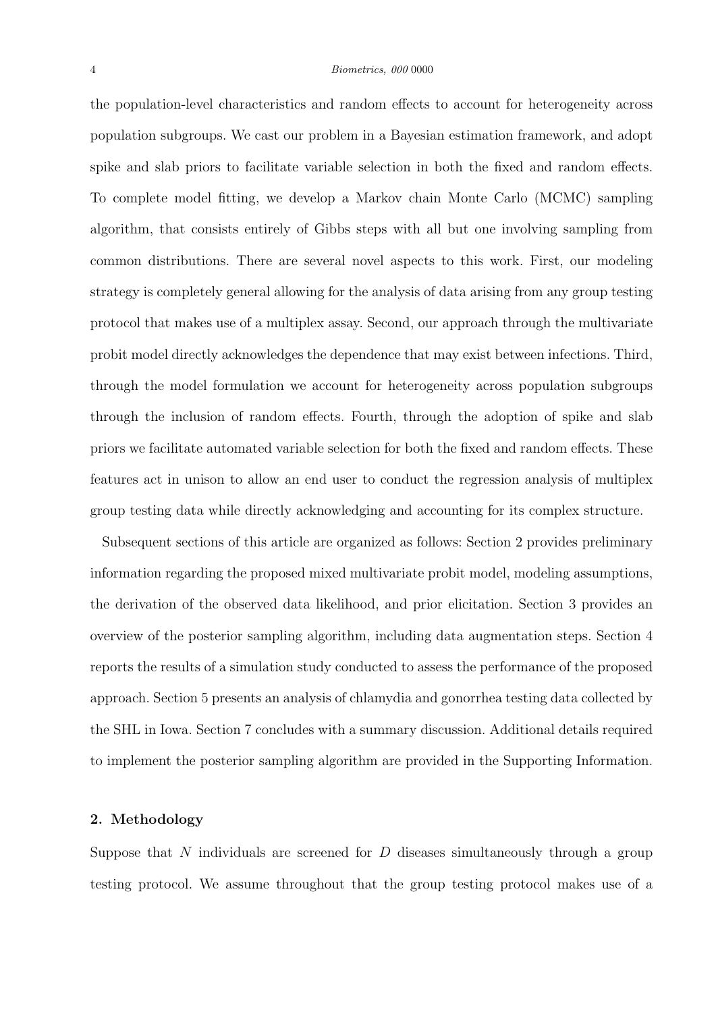the population-level characteristics and random effects to account for heterogeneity across population subgroups. We cast our problem in a Bayesian estimation framework, and adopt spike and slab priors to facilitate variable selection in both the fixed and random effects. To complete model fitting, we develop a Markov chain Monte Carlo (MCMC) sampling algorithm, that consists entirely of Gibbs steps with all but one involving sampling from common distributions. There are several novel aspects to this work. First, our modeling strategy is completely general allowing for the analysis of data arising from any group testing protocol that makes use of a multiplex assay. Second, our approach through the multivariate probit model directly acknowledges the dependence that may exist between infections. Third, through the model formulation we account for heterogeneity across population subgroups through the inclusion of random effects. Fourth, through the adoption of spike and slab priors we facilitate automated variable selection for both the fixed and random effects. These features act in unison to allow an end user to conduct the regression analysis of multiplex group testing data while directly acknowledging and accounting for its complex structure.

Subsequent sections of this article are organized as follows: Section 2 provides preliminary information regarding the proposed mixed multivariate probit model, modeling assumptions, the derivation of the observed data likelihood, and prior elicitation. Section 3 provides an overview of the posterior sampling algorithm, including data augmentation steps. Section 4 reports the results of a simulation study conducted to assess the performance of the proposed approach. Section 5 presents an analysis of chlamydia and gonorrhea testing data collected by the SHL in Iowa. Section 7 concludes with a summary discussion. Additional details required to implement the posterior sampling algorithm are provided in the Supporting Information.

# 2. Methodology

Suppose that N individuals are screened for  $D$  diseases simultaneously through a group testing protocol. We assume throughout that the group testing protocol makes use of a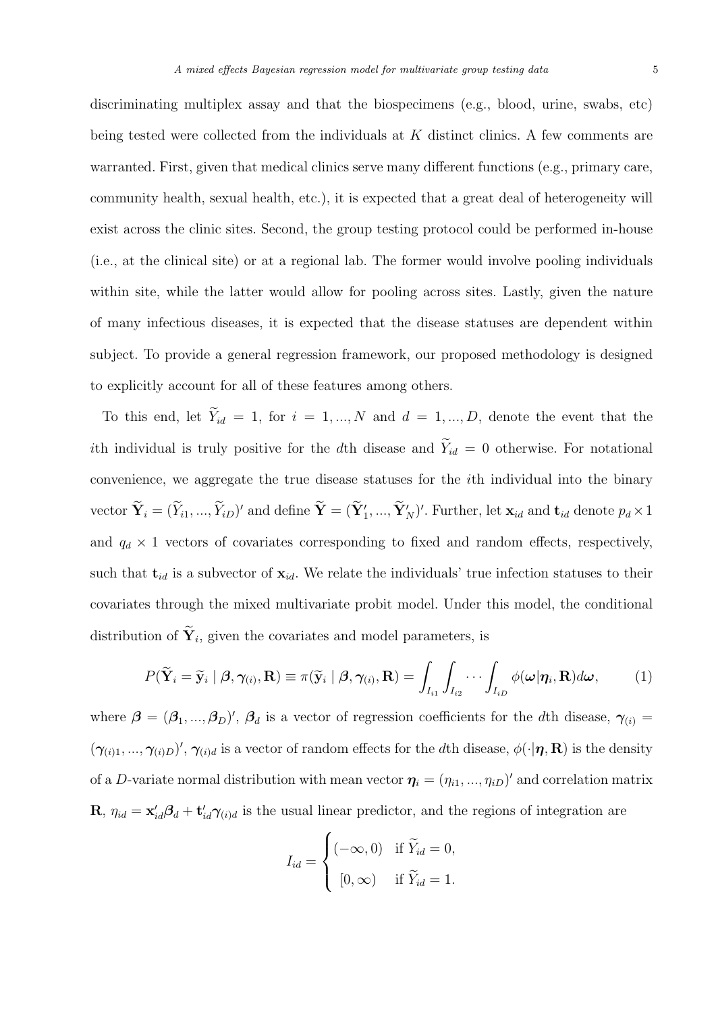being tested were collected from the individuals at K distinct clinics. A few comments are warranted. First, given that medical clinics serve many different functions (e.g., primary care, community health, sexual health, etc.), it is expected that a great deal of heterogeneity will exist across the clinic sites. Second, the group testing protocol could be performed in-house (i.e., at the clinical site) or at a regional lab. The former would involve pooling individuals within site, while the latter would allow for pooling across sites. Lastly, given the nature of many infectious diseases, it is expected that the disease statuses are dependent within subject. To provide a general regression framework, our proposed methodology is designed to explicitly account for all of these features among others.

To this end, let  $\widetilde{Y}_{id} = 1$ , for  $i = 1, ..., N$  and  $d = 1, ..., D$ , denote the event that the ith individual is truly positive for the dth disease and  $\widetilde{Y}_{id} = 0$  otherwise. For notational convenience, we aggregate the true disease statuses for the ith individual into the binary vector  $\widetilde{\mathbf{Y}}_i = (\widetilde{Y}_{i1},...,\widetilde{Y}_{iD})'$  and define  $\widetilde{\mathbf{Y}} = (\widetilde{\mathbf{Y}}'_1,...,\widetilde{\mathbf{Y}}'_N)'$ . Further, let  $\mathbf{x}_{id}$  and  $\mathbf{t}_{id}$  denote  $p_d \times 1$ and  $q_d \times 1$  vectors of covariates corresponding to fixed and random effects, respectively, such that  $t_{id}$  is a subvector of  $x_{id}$ . We relate the individuals' true infection statuses to their covariates through the mixed multivariate probit model. Under this model, the conditional distribution of  $Y_i$ , given the covariates and model parameters, is

$$
P(\widetilde{\mathbf{Y}}_i = \widetilde{\mathbf{y}}_i \mid \boldsymbol{\beta}, \boldsymbol{\gamma}_{(i)}, \mathbf{R}) \equiv \pi(\widetilde{\mathbf{y}}_i \mid \boldsymbol{\beta}, \boldsymbol{\gamma}_{(i)}, \mathbf{R}) = \int_{I_{i1}} \int_{I_{i2}} \cdots \int_{I_{iD}} \phi(\boldsymbol{\omega} | \boldsymbol{\eta}_i, \mathbf{R}) d\boldsymbol{\omega},
$$
 (1)

where  $\beta = (\beta_1, ..., \beta_D)'$ ,  $\beta_d$  is a vector of regression coefficients for the dth disease,  $\gamma_{(i)} =$  $(\gamma_{(i)1},...,\gamma_{(i)D})',\gamma_{(i)d}$  is a vector of random effects for the dth disease,  $\phi(\cdot|\eta,\mathbf{R})$  is the density of a D-variate normal distribution with mean vector  $\eta_i = (\eta_{i1}, ..., \eta_{iD})'$  and correlation matrix **R**,  $\eta_{id} = \mathbf{x}'_{id} \beta_d + \mathbf{t}'_{id} \gamma_{(i)d}$  is the usual linear predictor, and the regions of integration are

$$
I_{id} = \begin{cases} (-\infty, 0) & \text{if } \widetilde{Y}_{id} = 0, \\ [0, \infty) & \text{if } \widetilde{Y}_{id} = 1. \end{cases}
$$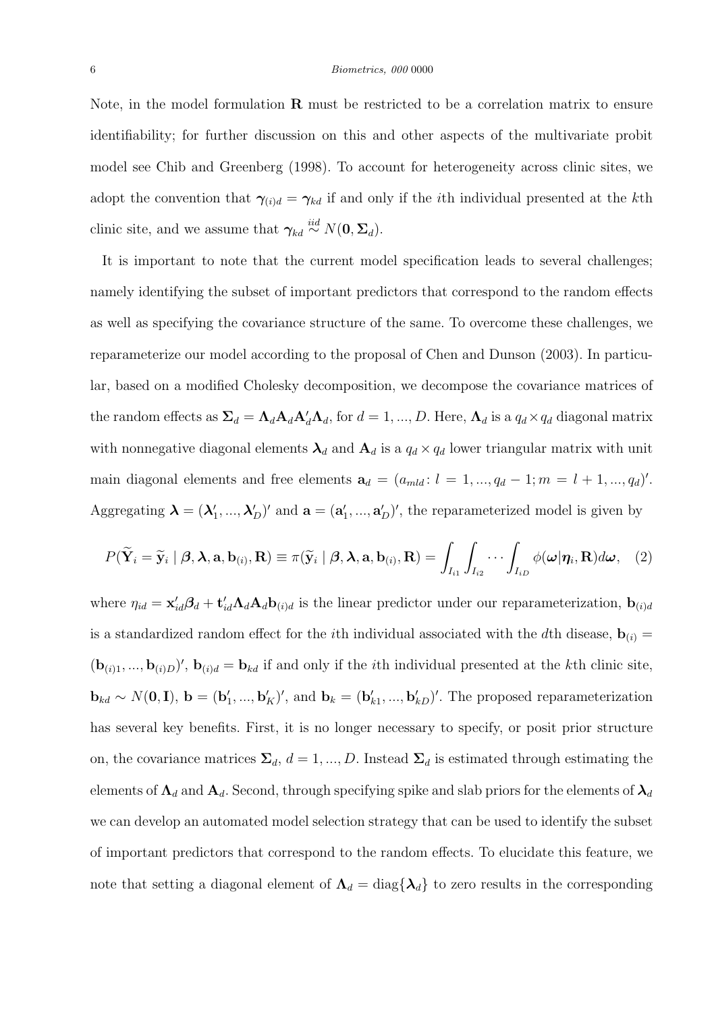#### 6 Biometrics, 000 0000

Note, in the model formulation  $\bf{R}$  must be restricted to be a correlation matrix to ensure identifiability; for further discussion on this and other aspects of the multivariate probit model see Chib and Greenberg (1998). To account for heterogeneity across clinic sites, we adopt the convention that  $\gamma_{(i)d} = \gamma_{kd}$  if and only if the *i*th individual presented at the *k*th clinic site, and we assume that  $\gamma_{kd} \stackrel{iid}{\sim} N(\mathbf{0}, \mathbf{\Sigma}_d)$ .

It is important to note that the current model specification leads to several challenges; namely identifying the subset of important predictors that correspond to the random effects as well as specifying the covariance structure of the same. To overcome these challenges, we reparameterize our model according to the proposal of Chen and Dunson (2003). In particular, based on a modified Cholesky decomposition, we decompose the covariance matrices of the random effects as  $\Sigma_d = \Lambda_d \mathbf{A}_d \mathbf{A}_d' \Lambda_d$ , for  $d = 1, ..., D$ . Here,  $\Lambda_d$  is a  $q_d \times q_d$  diagonal matrix with nonnegative diagonal elements  $\lambda_d$  and  $A_d$  is a  $q_d \times q_d$  lower triangular matrix with unit main diagonal elements and free elements  $\mathbf{a}_d = (a_{mld}: l = 1, ..., q_d - 1; m = l + 1, ..., q_d)'$ . Aggregating  $\lambda = (\lambda'_1, ..., \lambda'_D)'$  and  $\mathbf{a} = (\mathbf{a}'_1, ..., \mathbf{a}'_D)'$ , the reparameterized model is given by

$$
P(\widetilde{\mathbf{Y}}_i = \widetilde{\mathbf{y}}_i \mid \boldsymbol{\beta}, \boldsymbol{\lambda}, \mathbf{a}, \mathbf{b}_{(i)}, \mathbf{R}) \equiv \pi(\widetilde{\mathbf{y}}_i \mid \boldsymbol{\beta}, \boldsymbol{\lambda}, \mathbf{a}, \mathbf{b}_{(i)}, \mathbf{R}) = \int_{I_{i1}} \int_{I_{i2}} \cdots \int_{I_{iD}} \phi(\boldsymbol{\omega} | \boldsymbol{\eta}_i, \mathbf{R}) d\boldsymbol{\omega}, \quad (2)
$$

where  $\eta_{id} = \mathbf{x}'_{id} \mathbf{\beta}_d + \mathbf{t}'_{id} \mathbf{\Lambda}_d \mathbf{\Lambda}_d \mathbf{b}_{(i)d}$  is the linear predictor under our reparameterization,  $\mathbf{b}_{(i)d}$ is a standardized random effect for the *i*th individual associated with the *d*th disease,  $\mathbf{b}_{(i)} =$  $(\mathbf{b}_{(i)1},...,\mathbf{b}_{(i)D})'$ ,  $\mathbf{b}_{(i)d} = \mathbf{b}_{kd}$  if and only if the *i*th individual presented at the *k*th clinic site,  $\mathbf{b}_{kd} \sim N(\mathbf{0}, \mathbf{I}), \mathbf{b} = (\mathbf{b}'_1, ..., \mathbf{b}'_K)'$ , and  $\mathbf{b}_k = (\mathbf{b}'_{k1}, ..., \mathbf{b}'_{kD})'$ . The proposed reparameterization has several key benefits. First, it is no longer necessary to specify, or posit prior structure on, the covariance matrices  $\Sigma_d$ ,  $d = 1, ..., D$ . Instead  $\Sigma_d$  is estimated through estimating the elements of  $\Lambda_d$  and  $\Lambda_d$ . Second, through specifying spike and slab priors for the elements of  $\lambda_d$ we can develop an automated model selection strategy that can be used to identify the subset of important predictors that correspond to the random effects. To elucidate this feature, we note that setting a diagonal element of  $\Lambda_d = \text{diag}\{\lambda_d\}$  to zero results in the corresponding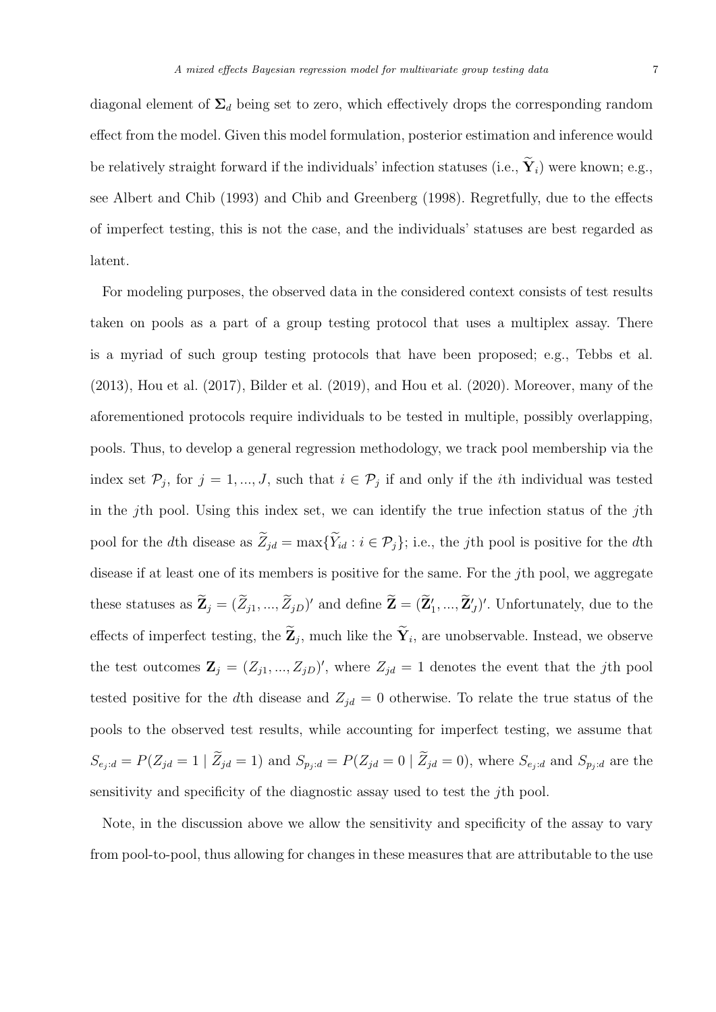diagonal element of  $\Sigma_d$  being set to zero, which effectively drops the corresponding random effect from the model. Given this model formulation, posterior estimation and inference would be relatively straight forward if the individuals' infection statuses (i.e.,  $\widetilde{\mathbf{Y}}_i$ ) were known; e.g., see Albert and Chib (1993) and Chib and Greenberg (1998). Regretfully, due to the effects of imperfect testing, this is not the case, and the individuals' statuses are best regarded as latent.

For modeling purposes, the observed data in the considered context consists of test results taken on pools as a part of a group testing protocol that uses a multiplex assay. There is a myriad of such group testing protocols that have been proposed; e.g., Tebbs et al. (2013), Hou et al. (2017), Bilder et al. (2019), and Hou et al. (2020). Moreover, many of the aforementioned protocols require individuals to be tested in multiple, possibly overlapping, pools. Thus, to develop a general regression methodology, we track pool membership via the index set  $\mathcal{P}_j$ , for  $j = 1, ..., J$ , such that  $i \in \mathcal{P}_j$  if and only if the *i*th individual was tested in the jth pool. Using this index set, we can identify the true infection status of the jth pool for the dth disease as  $\widetilde{Z}_{jd} = \max{\{\widetilde{Y}_{id} : i \in \mathcal{P}_j\}}$ ; i.e., the jth pool is positive for the dth disease if at least one of its members is positive for the same. For the jth pool, we aggregate these statuses as  $\mathbf{Z}_j = (\tilde{Z}_{j1},...,\tilde{Z}_{jD})'$  and define  $\mathbf{Z} = (\mathbf{Z}'_1,...,\mathbf{Z}'_J)'$ . Unfortunately, due to the effects of imperfect testing, the  $\mathbf{Z}_j$ , much like the  $\mathbf{Y}_i$ , are unobservable. Instead, we observe the test outcomes  $\mathbf{Z}_j = (Z_{j1},...,Z_{jD})'$ , where  $Z_{jd} = 1$  denotes the event that the jth pool tested positive for the dth disease and  $Z_{jd} = 0$  otherwise. To relate the true status of the pools to the observed test results, while accounting for imperfect testing, we assume that  $S_{e_j : d} = P(Z_{jd} = 1 | \tilde{Z}_{jd} = 1)$  and  $S_{p_j : d} = P(Z_{jd} = 0 | \tilde{Z}_{jd} = 0)$ , where  $S_{e_j : d}$  and  $S_{p_j : d}$  are the sensitivity and specificity of the diagnostic assay used to test the jth pool.

Note, in the discussion above we allow the sensitivity and specificity of the assay to vary from pool-to-pool, thus allowing for changes in these measures that are attributable to the use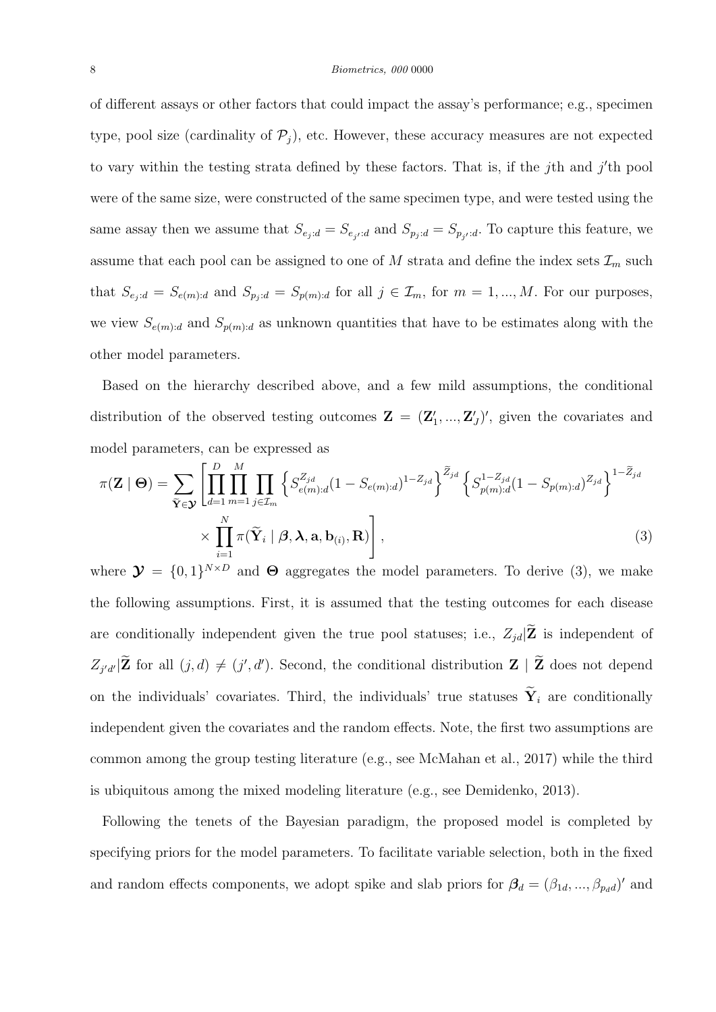of different assays or other factors that could impact the assay's performance; e.g., specimen type, pool size (cardinality of  $\mathcal{P}_j$ ), etc. However, these accuracy measures are not expected to vary within the testing strata defined by these factors. That is, if the j<sup>th</sup> and j'th pool were of the same size, were constructed of the same specimen type, and were tested using the same assay then we assume that  $S_{e_j : d} = S_{e_{j'} : d}$  and  $S_{p_j : d} = S_{p_{j'} : d}$ . To capture this feature, we assume that each pool can be assigned to one of  $M$  strata and define the index sets  $\mathcal{I}_m$  such that  $S_{e_j : d} = S_{e(m):d}$  and  $S_{p_j : d} = S_{p(m):d}$  for all  $j \in \mathcal{I}_m$ , for  $m = 1, ..., M$ . For our purposes, we view  $S_{e(m):d}$  and  $S_{p(m):d}$  as unknown quantities that have to be estimates along with the other model parameters.

Based on the hierarchy described above, and a few mild assumptions, the conditional distribution of the observed testing outcomes  $\mathbf{Z} = (\mathbf{Z}'_1, ..., \mathbf{Z}'_J)'$ , given the covariates and model parameters, can be expressed as

$$
\pi(\mathbf{Z} \mid \boldsymbol{\Theta}) = \sum_{\widetilde{\mathbf{Y}} \in \mathbf{Y}} \left[ \prod_{d=1}^{D} \prod_{m=1}^{M} \prod_{j \in \mathcal{I}_m} \left\{ S_{e(m):d}^{Z_{jd}} (1 - S_{e(m):d})^{1 - Z_{jd}} \right\}^{\widetilde{Z}_{jd}} \left\{ S_{p(m):d}^{1 - Z_{jd}} (1 - S_{p(m):d})^{Z_{jd}} \right\}^{1 - \widetilde{Z}_{jd}}
$$
  
 
$$
\times \prod_{i=1}^{N} \pi(\widetilde{\mathbf{Y}}_i \mid \boldsymbol{\beta}, \boldsymbol{\lambda}, \mathbf{a}, \mathbf{b}_{(i)}, \mathbf{R}) \right],
$$
(3)

where  $\mathbf{\mathcal{Y}} = \{0,1\}^{N \times D}$  and  $\Theta$  aggregates the model parameters. To derive (3), we make the following assumptions. First, it is assumed that the testing outcomes for each disease are conditionally independent given the true pool statuses; i.e.,  $Z_{jd}|\widetilde{\mathbf{Z}}\hspace{0.5em}$  is independent of  $Z_{j'd'}|\mathbf{Z}$  for all  $(j, d) \neq (j', d')$ . Second, the conditional distribution  $\mathbf{Z} | \mathbf{Z}$  does not depend on the individuals' covariates. Third, the individuals' true statuses  $\widetilde{\mathbf{Y}}_i$  are conditionally independent given the covariates and the random effects. Note, the first two assumptions are common among the group testing literature (e.g., see McMahan et al., 2017) while the third is ubiquitous among the mixed modeling literature (e.g., see Demidenko, 2013).

Following the tenets of the Bayesian paradigm, the proposed model is completed by specifying priors for the model parameters. To facilitate variable selection, both in the fixed and random effects components, we adopt spike and slab priors for  $\beta_d = (\beta_{1d}, ..., \beta_{p_d d})'$  and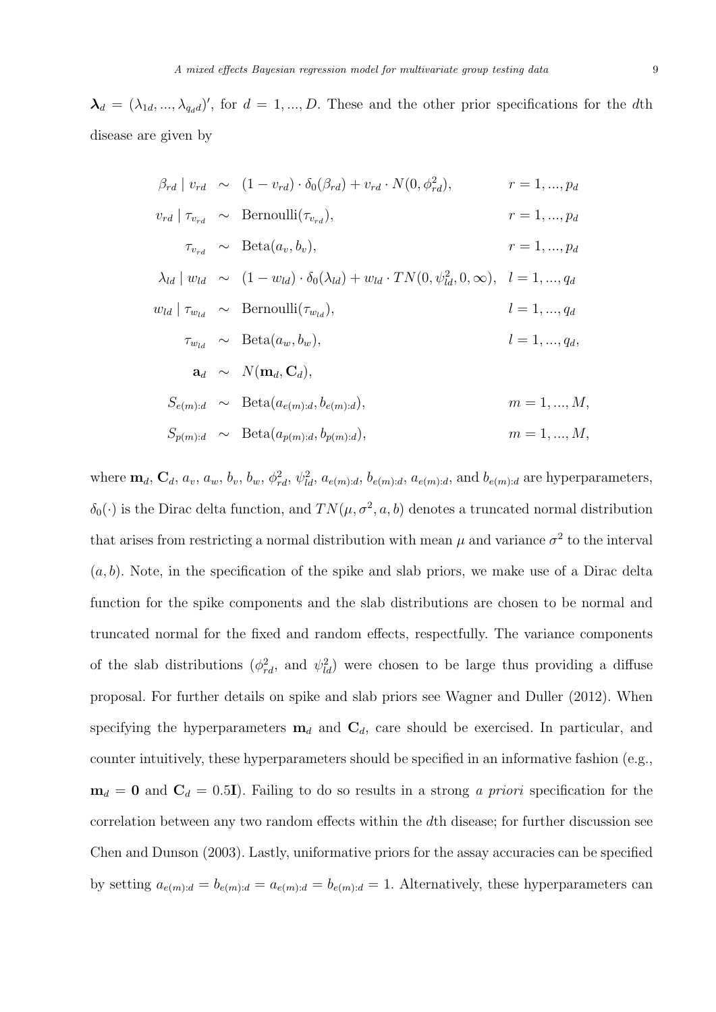$\lambda_d = (\lambda_{1d}, ..., \lambda_{q_dd})'$ , for  $d = 1, ..., D$ . These and the other prior specifications for the dth disease are given by

$$
\beta_{rd} | v_{rd} \sim (1 - v_{rd}) \cdot \delta_0(\beta_{rd}) + v_{rd} \cdot N(0, \phi_{rd}^2), \qquad r = 1, ..., p_d
$$
  
\n
$$
v_{rd} | \tau_{v_{rd}} \sim \text{Bernoulli}(\tau_{v_{rd}}), \qquad r = 1, ..., p_d
$$
  
\n
$$
\tau_{v_{rd}} \sim \text{Beta}(a_v, b_v), \qquad r = 1, ..., p_d
$$
  
\n
$$
\lambda_{ld} | w_{ld} \sim (1 - w_{ld}) \cdot \delta_0(\lambda_{ld}) + w_{ld} \cdot TN(0, \psi_{ld}^2, 0, \infty), \quad l = 1, ..., q_d
$$
  
\n
$$
w_{ld} | \tau_{w_{ld}} \sim \text{Bernoulli}(\tau_{w_{ld}}), \qquad l = 1, ..., q_d
$$
  
\n
$$
\tau_{w_{ld}} \sim \text{Beta}(a_w, b_w), \qquad l = 1, ..., q_d,
$$
  
\n
$$
\mathbf{a}_d \sim N(\mathbf{m}_d, \mathbf{C}_d), \qquad l = 1, ..., q_d,
$$
  
\n
$$
S_{e(m):d} \sim \text{Beta}(a_{e(m):d}, b_{e(m):d}), \qquad m = 1, ..., M,
$$
  
\n
$$
S_{p(m):d} \sim \text{Beta}(a_{p(m):d}, b_{p(m):d}), \qquad m = 1, ..., M,
$$

where  $\mathbf{m}_d$ ,  $\mathbf{C}_d$ ,  $a_v$ ,  $a_w$ ,  $b_v$ ,  $b_w$ ,  $\phi_{rd}^2$ ,  $\psi_{ld}^2$ ,  $a_{e(m):d}$ ,  $b_{e(m):d}$ ,  $a_{e(m):d}$ , and  $b_{e(m):d}$  are hyperparameters,  $\delta_0(\cdot)$  is the Dirac delta function, and  $TN(\mu, \sigma^2, a, b)$  denotes a truncated normal distribution that arises from restricting a normal distribution with mean  $\mu$  and variance  $\sigma^2$  to the interval  $(a, b)$ . Note, in the specification of the spike and slab priors, we make use of a Dirac delta function for the spike components and the slab distributions are chosen to be normal and truncated normal for the fixed and random effects, respectfully. The variance components of the slab distributions  $(\phi_{rd}^2$ , and  $\psi_{ld}^2$ ) were chosen to be large thus providing a diffuse proposal. For further details on spike and slab priors see Wagner and Duller (2012). When specifying the hyperparameters  $\mathbf{m}_d$  and  $\mathbf{C}_d$ , care should be exercised. In particular, and counter intuitively, these hyperparameters should be specified in an informative fashion (e.g.,  $m_d = 0$  and  $C_d = 0.5I$ ). Failing to do so results in a strong *a priori* specification for the correlation between any two random effects within the dth disease; for further discussion see Chen and Dunson (2003). Lastly, uniformative priors for the assay accuracies can be specified by setting  $a_{e(m):d} = b_{e(m):d} = a_{e(m):d} = b_{e(m):d} = 1$ . Alternatively, these hyperparameters can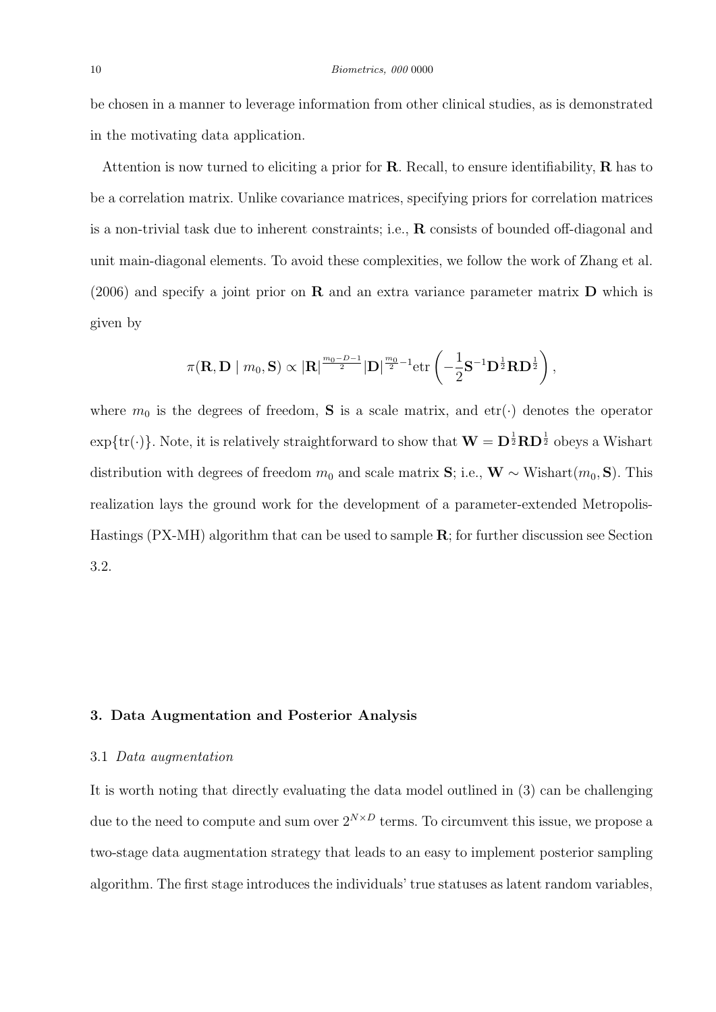be chosen in a manner to leverage information from other clinical studies, as is demonstrated in the motivating data application.

Attention is now turned to eliciting a prior for  $\bf R$ . Recall, to ensure identifiability,  $\bf R$  has to be a correlation matrix. Unlike covariance matrices, specifying priors for correlation matrices is a non-trivial task due to inherent constraints; i.e., R consists of bounded off-diagonal and unit main-diagonal elements. To avoid these complexities, we follow the work of Zhang et al.  $(2006)$  and specify a joint prior on **R** and an extra variance parameter matrix **D** which is given by

$$
\pi(\mathbf{R},\mathbf{D} \mid m_0,\mathbf{S}) \propto |\mathbf{R}|^{\frac{m_0-D-1}{2}} |\mathbf{D}|^{\frac{m_0}{2}-1} \text{etr}\left(-\frac{1}{2}\mathbf{S}^{-1}\mathbf{D}^{\frac{1}{2}}\mathbf{R}\mathbf{D}^{\frac{1}{2}}\right),
$$

where  $m_0$  is the degrees of freedom, **S** is a scale matrix, and etr( $\cdot$ ) denotes the operator  $\exp\{\text{tr}(\cdot)\}.$  Note, it is relatively straightforward to show that  $\mathbf{W} = \mathbf{D}^{\frac{1}{2}} \mathbf{R} \mathbf{D}^{\frac{1}{2}}$  obeys a Wishart distribution with degrees of freedom  $m_0$  and scale matrix S; i.e., W ~ Wishart $(m_0, S)$ . This realization lays the ground work for the development of a parameter-extended Metropolis-Hastings (PX-MH) algorithm that can be used to sample R; for further discussion see Section 3.2.

# 3. Data Augmentation and Posterior Analysis

### 3.1 Data augmentation

It is worth noting that directly evaluating the data model outlined in (3) can be challenging due to the need to compute and sum over  $2^{N \times D}$  terms. To circumvent this issue, we propose a two-stage data augmentation strategy that leads to an easy to implement posterior sampling algorithm. The first stage introduces the individuals' true statuses as latent random variables,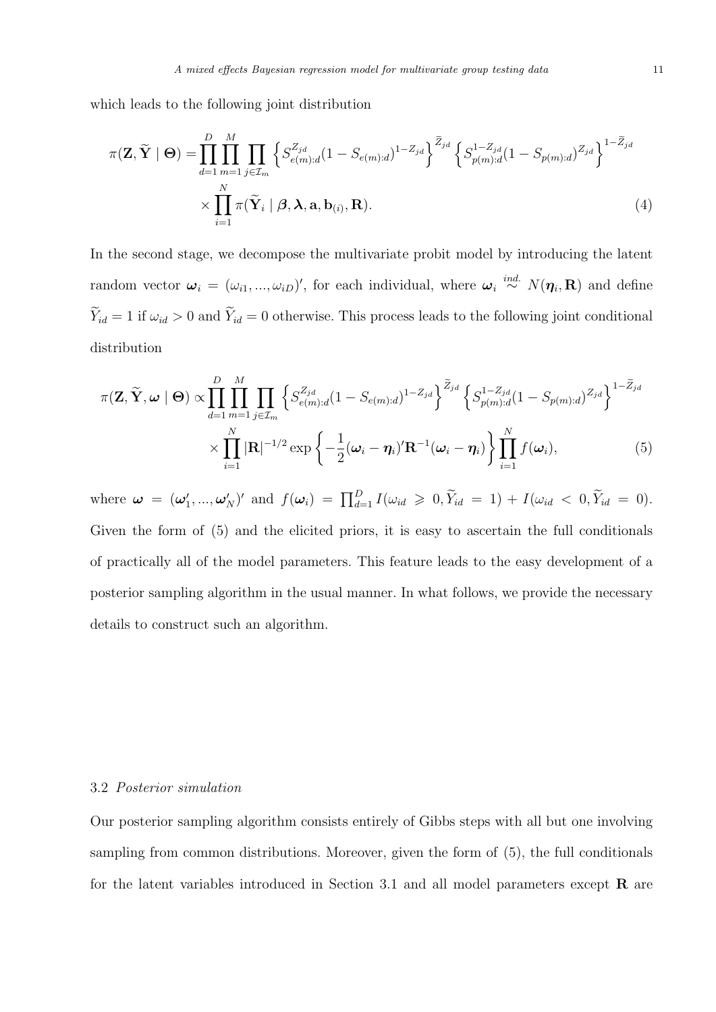which leads to the following joint distribution

$$
\pi(\mathbf{Z}, \widetilde{\mathbf{Y}} \mid \boldsymbol{\Theta}) = \prod_{d=1}^{D} \prod_{m=1}^{M} \prod_{j \in \mathcal{I}_m} \left\{ S_{e(m):d}^{Z_{jd}} (1 - S_{e(m):d})^{1 - Z_{jd}} \right\}^{\widetilde{Z}_{jd}} \left\{ S_{p(m):d}^{1 - Z_{jd}} (1 - S_{p(m):d})^{Z_{jd}} \right\}^{1 - \widetilde{Z}_{jd}}
$$
\n
$$
\times \prod_{i=1}^{N} \pi(\widetilde{\mathbf{Y}}_i \mid \boldsymbol{\beta}, \boldsymbol{\lambda}, \mathbf{a}, \mathbf{b}_{(i)}, \mathbf{R}).
$$
\n(4)

In the second stage, we decompose the multivariate probit model by introducing the latent random vector  $\boldsymbol{\omega}_i = (\omega_{i1}, ..., \omega_{iD})'$ , for each individual, where  $\boldsymbol{\omega}_i \stackrel{ind.}{\sim} N(\boldsymbol{\eta}_i, \mathbf{R})$  and define  $\widetilde{Y}_{id} = 1$  if  $\omega_{id} > 0$  and  $\widetilde{Y}_{id} = 0$  otherwise. This process leads to the following joint conditional distribution

$$
\pi(\mathbf{Z}, \widetilde{\mathbf{Y}}, \boldsymbol{\omega} \mid \boldsymbol{\Theta}) \propto \prod_{d=1}^{D} \prod_{m=1}^{M} \prod_{j \in \mathcal{I}_m} \left\{ S_{e(m):d}^{Z_{jd}} (1 - S_{e(m):d})^{1 - Z_{jd}} \right\}^{\widetilde{Z}_{jd}} \left\{ S_{p(m):d}^{1 - Z_{jd}} (1 - S_{p(m):d})^{Z_{jd}} \right\}^{1 - \widetilde{Z}_{jd}}
$$

$$
\times \prod_{i=1}^{N} |\mathbf{R}|^{-1/2} \exp \left\{ -\frac{1}{2} (\boldsymbol{\omega}_i - \boldsymbol{\eta}_i)' \mathbf{R}^{-1} (\boldsymbol{\omega}_i - \boldsymbol{\eta}_i) \right\} \prod_{i=1}^{N} f(\boldsymbol{\omega}_i), \tag{5}
$$

where  $\boldsymbol{\omega} = (\boldsymbol{\omega}'_1, ..., \boldsymbol{\omega}'_N)'$  and  $f(\boldsymbol{\omega}_i) = \prod_{d=1}^D I(\omega_{id} \geq 0, \widetilde{Y}_{id} = 1) + I(\omega_{id} < 0, \widetilde{Y}_{id} = 0).$ Given the form of (5) and the elicited priors, it is easy to ascertain the full conditionals of practically all of the model parameters. This feature leads to the easy development of a posterior sampling algorithm in the usual manner. In what follows, we provide the necessary details to construct such an algorithm.

### 3.2 Posterior simulation

Our posterior sampling algorithm consists entirely of Gibbs steps with all but one involving sampling from common distributions. Moreover, given the form of (5), the full conditionals for the latent variables introduced in Section 3.1 and all model parameters except  $\bf{R}$  are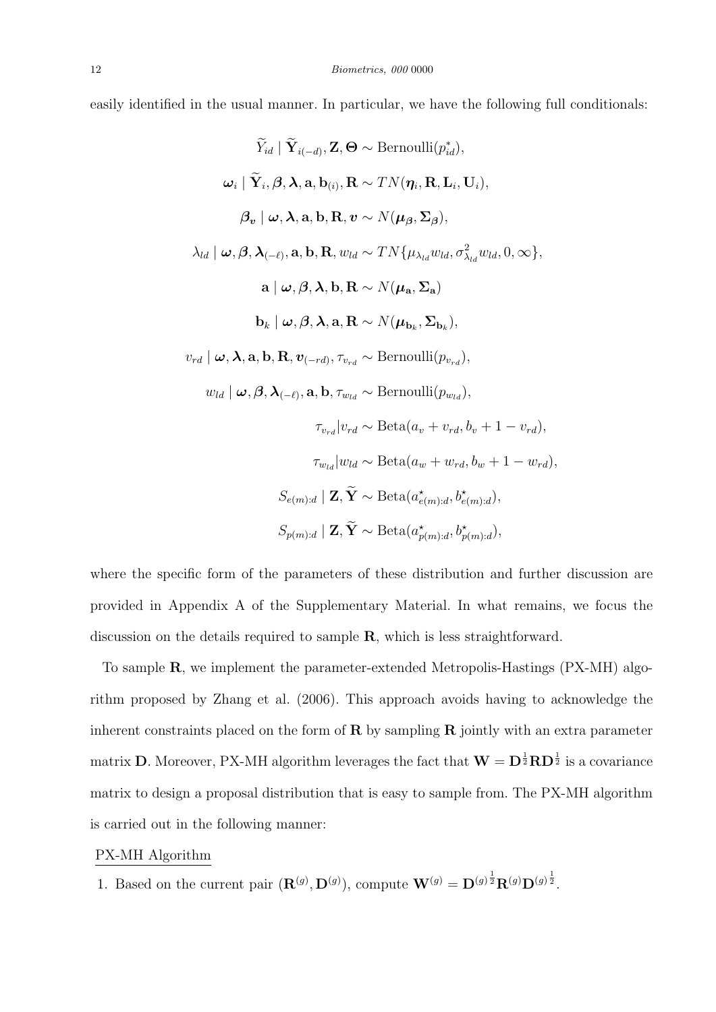easily identified in the usual manner. In particular, we have the following full conditionals:

$$
\widetilde{Y}_{id} | \widetilde{\mathbf{Y}}_{i(-d)}, \mathbf{Z}, \Theta \sim \text{Bernoulli}(p_{id}^{*}),
$$
\n
$$
\omega_{i} | \widetilde{\mathbf{Y}}_{i}, \beta, \lambda, \mathbf{a}, \mathbf{b}_{(i)}, \mathbf{R} \sim TN(\eta_{i}, \mathbf{R}, \mathbf{L}_{i}, \mathbf{U}_{i}),
$$
\n
$$
\beta_{v} | \omega, \lambda, \mathbf{a}, \mathbf{b}, \mathbf{R}, v \sim N(\mu_{\beta}, \Sigma_{\beta}),
$$
\n
$$
\lambda_{ld} | \omega, \beta, \lambda_{(-\ell)}, \mathbf{a}, \mathbf{b}, \mathbf{R}, w_{ld} \sim TN\{\mu_{\lambda_{ld}}w_{ld}, \sigma_{\lambda_{ld}}^{2}w_{ld}, 0, \infty\},
$$
\n
$$
\mathbf{a} | \omega, \beta, \lambda, \mathbf{b}, \mathbf{R} \sim N(\mu_{\mathbf{a}}, \Sigma_{\mathbf{a}})
$$
\n
$$
\mathbf{b}_{k} | \omega, \beta, \lambda, \mathbf{a}, \mathbf{R} \sim N(\mu_{\mathbf{b}_{k}}, \Sigma_{\mathbf{b}_{k}}),
$$
\n
$$
v_{rd} | \omega, \lambda, \mathbf{a}, \mathbf{b}, \mathbf{R}, v_{(-rd)}, \tau_{v_{rd}} \sim \text{Bernoulli}(p_{v_{rd}}),
$$
\n
$$
w_{ld} | \omega, \beta, \lambda_{(-\ell)}, \mathbf{a}, \mathbf{b}, \tau_{w_{ld}} \sim \text{Bernoulli}(p_{w_{ld}}),
$$
\n
$$
\tau_{v_{rd}} | v_{rd} \sim \text{Beta}(a_{v} + v_{rd}, b_{v} + 1 - v_{rd}),
$$
\n
$$
\tau_{w_{ld}} | w_{ld} \sim \text{Beta}(a_{w} + w_{rd}, b_{w} + 1 - w_{rd}),
$$
\n
$$
S_{e(m):d} | \mathbf{Z}, \widetilde{\mathbf{Y}} \sim \text{Beta}(a_{e(m):d}^{*}, b_{e(m):d}^{*}),
$$
\n
$$
S_{p(m):d} | \mathbf{Z}, \widetilde{\mathbf{Y}} \sim \text{Beta}(a_{p(m):d}^{*}, b_{p(m):d}^{*}),
$$

where the specific form of the parameters of these distribution and further discussion are provided in Appendix A of the Supplementary Material. In what remains, we focus the discussion on the details required to sample R, which is less straightforward.

To sample R, we implement the parameter-extended Metropolis-Hastings (PX-MH) algorithm proposed by Zhang et al. (2006). This approach avoids having to acknowledge the inherent constraints placed on the form of  $\bf{R}$  by sampling  $\bf{R}$  jointly with an extra parameter matrix **D**. Moreover, PX-MH algorithm leverages the fact that  $\mathbf{W} = \mathbf{D}^{\frac{1}{2}} \mathbf{R} \mathbf{D}^{\frac{1}{2}}$  is a covariance matrix to design a proposal distribution that is easy to sample from. The PX-MH algorithm is carried out in the following manner:

# PX-MH Algorithm

1. Based on the current pair  $(\mathbf{R}^{(g)}, \mathbf{D}^{(g)})$ , compute  $\mathbf{W}^{(g)} = \mathbf{D}^{(g)\frac{1}{2}} \mathbf{R}^{(g)} \mathbf{D}^{(g)\frac{1}{2}}$ .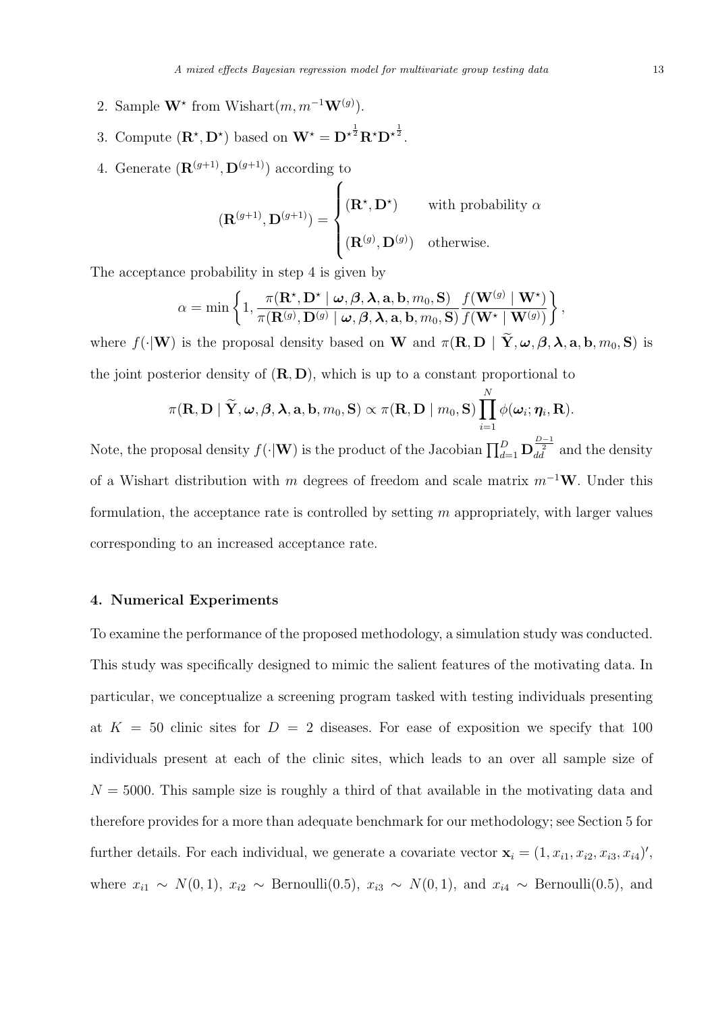- 2. Sample  $\mathbf{W}^*$  from Wishart $(m, m^{-1}\mathbf{W}^{(g)})$ .
- 3. Compute  $(\mathbf{R}^*, \mathbf{D}^*)$  based on  $\mathbf{W}^* = {\mathbf{D}^*}^{\frac{1}{2}} \mathbf{R}^* \mathbf{D}^{*}_{\mathbf{A}}$ .
- 4. Generate  $(\mathbf{R}^{(g+1)}, \mathbf{D}^{(g+1)})$  according to

$$
(\mathbf{R}^{(g+1)}, \mathbf{D}^{(g+1)}) = \begin{cases} (\mathbf{R}^{\star}, \mathbf{D}^{\star}) & \text{with probability } \alpha \\ (\mathbf{R}^{(g)}, \mathbf{D}^{(g)}) & \text{otherwise.} \end{cases}
$$

The acceptance probability in step 4 is given by

$$
\alpha = \min \left\{ 1, \frac{\pi(\mathbf{R}^{\star}, \mathbf{D}^{\star} \mid \boldsymbol{\omega}, \boldsymbol{\beta}, \boldsymbol{\lambda}, \mathbf{a}, \mathbf{b}, m_0, \mathbf{S})}{\pi(\mathbf{R}^{(g)}, \mathbf{D}^{(g)} \mid \boldsymbol{\omega}, \boldsymbol{\beta}, \boldsymbol{\lambda}, \mathbf{a}, \mathbf{b}, m_0, \mathbf{S})} \frac{f(\mathbf{W}^{(g)} \mid \mathbf{W}^{\star})}{f(\mathbf{W}^{\star} \mid \mathbf{W}^{(g)})} \right\},
$$

where  $f(\cdot|\mathbf{W})$  is the proposal density based on W and  $\pi(\mathbf{R}, \mathbf{D} \mid \widetilde{\mathbf{Y}}, \boldsymbol{\omega}, \boldsymbol{\beta}, \boldsymbol{\lambda}, \mathbf{a}, \mathbf{b}, m_0, \mathbf{S})$  is the joint posterior density of  $(R, D)$ , which is up to a constant proportional to

$$
\pi(\mathbf{R},\mathbf{D}\mid \widetilde{\mathbf{Y}}, \boldsymbol{\omega}, \boldsymbol{\beta}, \boldsymbol{\lambda}, \mathbf{a}, \mathbf{b}, m_0, \mathbf{S}) \propto \pi(\mathbf{R},\mathbf{D}\mid m_0, \mathbf{S}) \prod_{i=1}^N \phi(\boldsymbol{\omega}_i;\boldsymbol{\eta}_i,\mathbf{R}).
$$

Note, the proposal density  $f(\cdot|\mathbf{W})$  is the product of the Jacobian  $\prod_{d=1}^D \mathbf{D}_{d \overline{d}}^{\frac{D-1}{2}}$  and the density of a Wishart distribution with m degrees of freedom and scale matrix  $m^{-1}\mathbf{W}$ . Under this formulation, the acceptance rate is controlled by setting  $m$  appropriately, with larger values corresponding to an increased acceptance rate.

# 4. Numerical Experiments

To examine the performance of the proposed methodology, a simulation study was conducted. This study was specifically designed to mimic the salient features of the motivating data. In particular, we conceptualize a screening program tasked with testing individuals presenting at  $K = 50$  clinic sites for  $D = 2$  diseases. For ease of exposition we specify that 100 individuals present at each of the clinic sites, which leads to an over all sample size of  $N = 5000$ . This sample size is roughly a third of that available in the motivating data and therefore provides for a more than adequate benchmark for our methodology; see Section 5 for further details. For each individual, we generate a covariate vector  $\mathbf{x}_i = (1, x_{i1}, x_{i2}, x_{i3}, x_{i4})'$ , where  $x_{i1} \sim N(0, 1)$ ,  $x_{i2} \sim \text{Bernoulli}(0.5)$ ,  $x_{i3} \sim N(0, 1)$ , and  $x_{i4} \sim \text{Bernoulli}(0.5)$ , and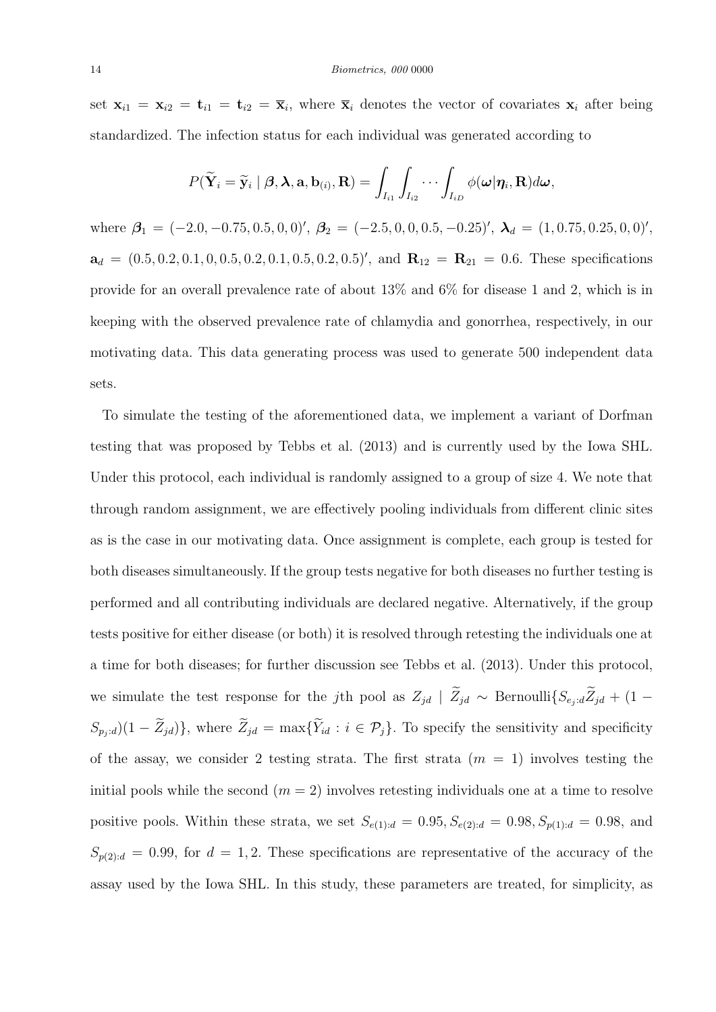#### 14 Biometrics, 000 0000

set  $\mathbf{x}_{i1} = \mathbf{x}_{i2} = \mathbf{t}_{i1} = \mathbf{t}_{i2} = \overline{\mathbf{x}}_i$ , where  $\overline{\mathbf{x}}_i$  denotes the vector of covariates  $\mathbf{x}_i$  after being standardized. The infection status for each individual was generated according to

$$
P(\widetilde{\mathbf{Y}}_i = \widetilde{\mathbf{y}}_i \mid \boldsymbol{\beta}, \boldsymbol{\lambda}, \mathbf{a}, \mathbf{b}_{(i)}, \mathbf{R}) = \int_{I_{i1}} \int_{I_{i2}} \cdots \int_{I_{iD}} \phi(\boldsymbol{\omega} | \boldsymbol{\eta}_i, \mathbf{R}) d\boldsymbol{\omega},
$$

where  $\beta_1 = (-2.0, -0.75, 0.5, 0, 0)'$ ,  $\beta_2 = (-2.5, 0, 0, 0.5, -0.25)'$ ,  $\lambda_d = (1, 0.75, 0.25, 0, 0)'$ ,  $a_d = (0.5, 0.2, 0.1, 0, 0.5, 0.2, 0.1, 0.5, 0.2, 0.5)$ , and  $R_{12} = R_{21} = 0.6$ . These specifications provide for an overall prevalence rate of about 13% and 6% for disease 1 and 2, which is in keeping with the observed prevalence rate of chlamydia and gonorrhea, respectively, in our motivating data. This data generating process was used to generate 500 independent data sets.

To simulate the testing of the aforementioned data, we implement a variant of Dorfman testing that was proposed by Tebbs et al. (2013) and is currently used by the Iowa SHL. Under this protocol, each individual is randomly assigned to a group of size 4. We note that through random assignment, we are effectively pooling individuals from different clinic sites as is the case in our motivating data. Once assignment is complete, each group is tested for both diseases simultaneously. If the group tests negative for both diseases no further testing is performed and all contributing individuals are declared negative. Alternatively, if the group tests positive for either disease (or both) it is resolved through retesting the individuals one at a time for both diseases; for further discussion see Tebbs et al. (2013). Under this protocol, we simulate the test response for the jth pool as  $Z_{jd}$  |  $\widetilde{Z}_{jd}$  ∼ Bernoulli $\{S_{e_j:d}\widetilde{Z}_{jd} + (1-\widetilde{Z}_{jd})\}$  $(S_{p_j;d})(1-\widetilde{Z}_{jd})\},\$  where  $\widetilde{Z}_{jd} = \max{\{\widetilde{Y}_{id}: i \in \mathcal{P}_j\}}.$  To specify the sensitivity and specificity of the assay, we consider 2 testing strata. The first strata  $(m = 1)$  involves testing the initial pools while the second  $(m = 2)$  involves retesting individuals one at a time to resolve positive pools. Within these strata, we set  $S_{e(1):d} = 0.95, S_{e(2):d} = 0.98, S_{p(1):d} = 0.98$ , and  $S_{p(2):d} = 0.99$ , for  $d = 1, 2$ . These specifications are representative of the accuracy of the assay used by the Iowa SHL. In this study, these parameters are treated, for simplicity, as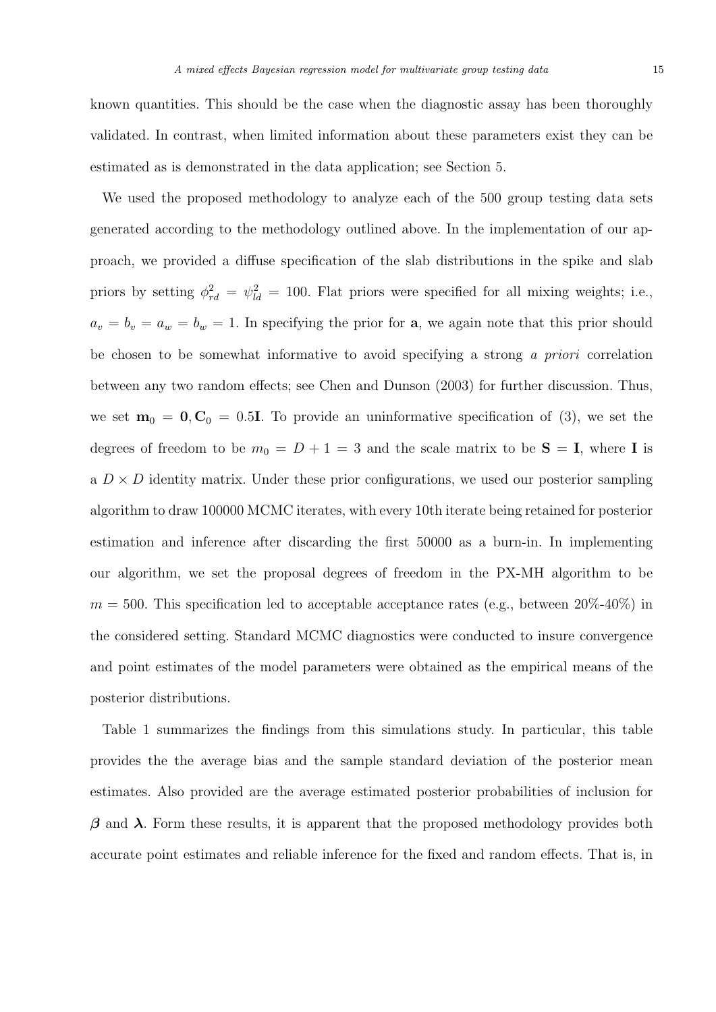known quantities. This should be the case when the diagnostic assay has been thoroughly validated. In contrast, when limited information about these parameters exist they can be estimated as is demonstrated in the data application; see Section 5.

We used the proposed methodology to analyze each of the 500 group testing data sets generated according to the methodology outlined above. In the implementation of our approach, we provided a diffuse specification of the slab distributions in the spike and slab priors by setting  $\phi_{rd}^2 = \psi_{ld}^2 = 100$ . Flat priors were specified for all mixing weights; i.e.,  $a_v = b_v = a_w = b_w = 1$ . In specifying the prior for **a**, we again note that this prior should be chosen to be somewhat informative to avoid specifying a strong a priori correlation between any two random effects; see Chen and Dunson (2003) for further discussion. Thus, we set  $\mathbf{m}_0 = \mathbf{0}, \mathbf{C}_0 = 0.5\mathbf{I}$ . To provide an uninformative specification of (3), we set the degrees of freedom to be  $m_0 = D + 1 = 3$  and the scale matrix to be  $S = I$ , where I is a  $D \times D$  identity matrix. Under these prior configurations, we used our posterior sampling algorithm to draw 100000 MCMC iterates, with every 10th iterate being retained for posterior estimation and inference after discarding the first 50000 as a burn-in. In implementing our algorithm, we set the proposal degrees of freedom in the PX-MH algorithm to be  $m = 500$ . This specification led to acceptable acceptance rates (e.g., between 20%-40%) in the considered setting. Standard MCMC diagnostics were conducted to insure convergence and point estimates of the model parameters were obtained as the empirical means of the posterior distributions.

Table 1 summarizes the findings from this simulations study. In particular, this table provides the the average bias and the sample standard deviation of the posterior mean estimates. Also provided are the average estimated posterior probabilities of inclusion for  $β$  and λ. Form these results, it is apparent that the proposed methodology provides both accurate point estimates and reliable inference for the fixed and random effects. That is, in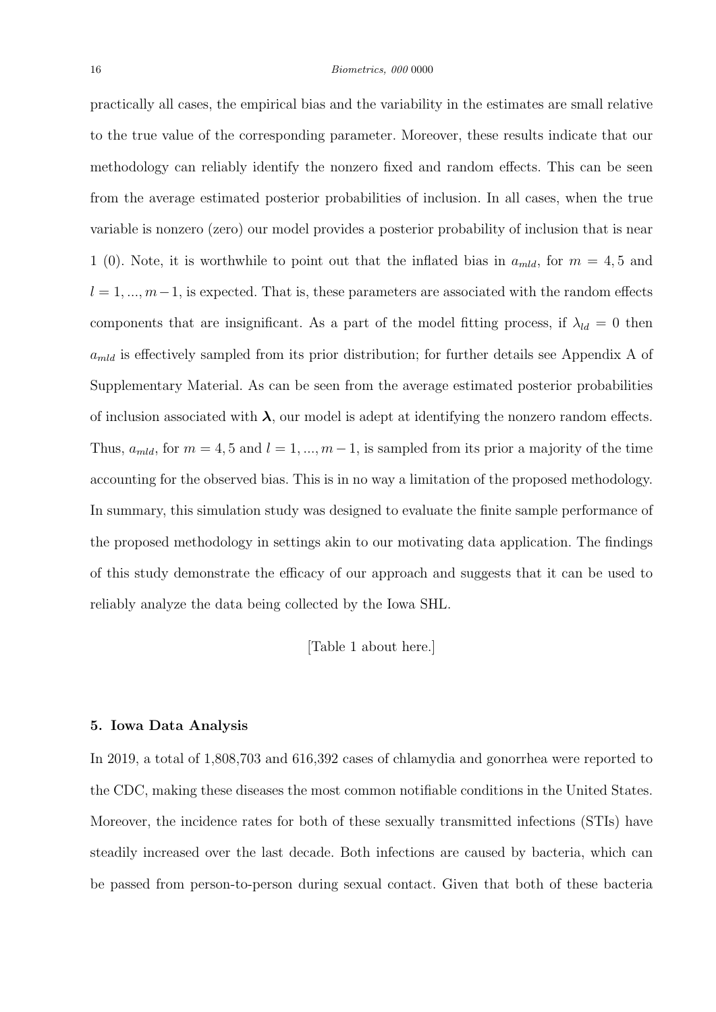practically all cases, the empirical bias and the variability in the estimates are small relative to the true value of the corresponding parameter. Moreover, these results indicate that our methodology can reliably identify the nonzero fixed and random effects. This can be seen from the average estimated posterior probabilities of inclusion. In all cases, when the true variable is nonzero (zero) our model provides a posterior probability of inclusion that is near 1 (0). Note, it is worthwhile to point out that the inflated bias in  $a_{mld}$ , for  $m = 4, 5$  and  $l = 1, ..., m-1$ , is expected. That is, these parameters are associated with the random effects components that are insignificant. As a part of the model fitting process, if  $\lambda_{ld} = 0$  then  $a_{mld}$  is effectively sampled from its prior distribution; for further details see Appendix A of Supplementary Material. As can be seen from the average estimated posterior probabilities of inclusion associated with  $\lambda$ , our model is adept at identifying the nonzero random effects. Thus,  $a_{mld}$ , for  $m = 4, 5$  and  $l = 1, ..., m-1$ , is sampled from its prior a majority of the time accounting for the observed bias. This is in no way a limitation of the proposed methodology. In summary, this simulation study was designed to evaluate the finite sample performance of the proposed methodology in settings akin to our motivating data application. The findings of this study demonstrate the efficacy of our approach and suggests that it can be used to reliably analyze the data being collected by the Iowa SHL.

[Table 1 about here.]

### 5. Iowa Data Analysis

In 2019, a total of 1,808,703 and 616,392 cases of chlamydia and gonorrhea were reported to the CDC, making these diseases the most common notifiable conditions in the United States. Moreover, the incidence rates for both of these sexually transmitted infections (STIs) have steadily increased over the last decade. Both infections are caused by bacteria, which can be passed from person-to-person during sexual contact. Given that both of these bacteria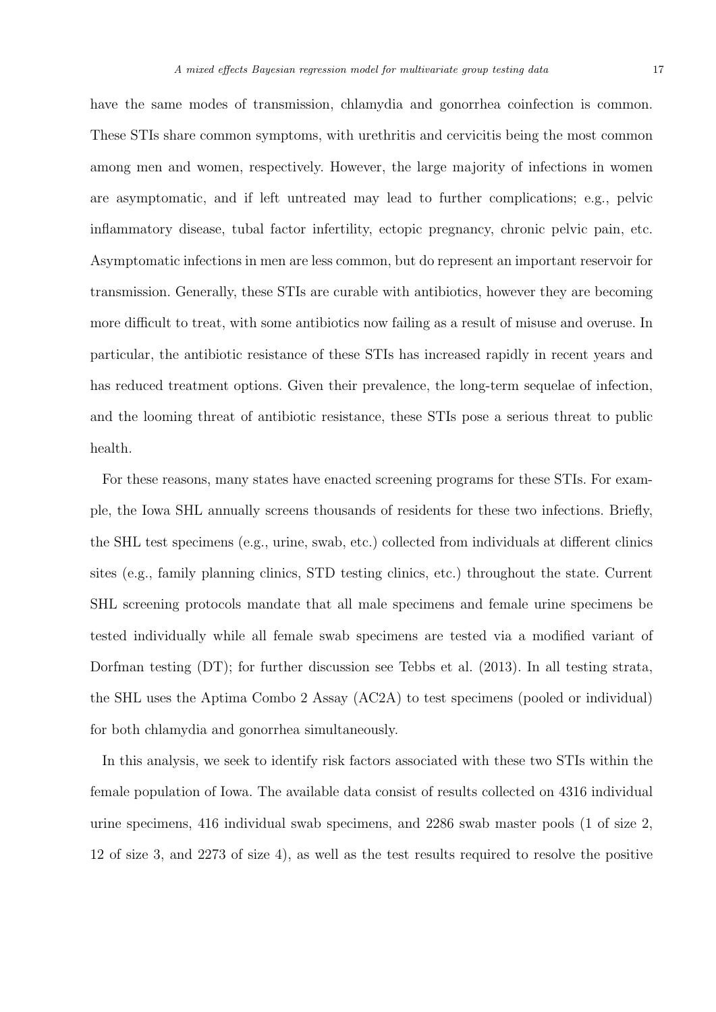have the same modes of transmission, chlamydia and gonorrhea coinfection is common. These STIs share common symptoms, with urethritis and cervicitis being the most common among men and women, respectively. However, the large majority of infections in women are asymptomatic, and if left untreated may lead to further complications; e.g., pelvic inflammatory disease, tubal factor infertility, ectopic pregnancy, chronic pelvic pain, etc. Asymptomatic infections in men are less common, but do represent an important reservoir for transmission. Generally, these STIs are curable with antibiotics, however they are becoming more difficult to treat, with some antibiotics now failing as a result of misuse and overuse. In particular, the antibiotic resistance of these STIs has increased rapidly in recent years and has reduced treatment options. Given their prevalence, the long-term sequelae of infection, and the looming threat of antibiotic resistance, these STIs pose a serious threat to public health.

For these reasons, many states have enacted screening programs for these STIs. For example, the Iowa SHL annually screens thousands of residents for these two infections. Briefly, the SHL test specimens (e.g., urine, swab, etc.) collected from individuals at different clinics sites (e.g., family planning clinics, STD testing clinics, etc.) throughout the state. Current SHL screening protocols mandate that all male specimens and female urine specimens be tested individually while all female swab specimens are tested via a modified variant of Dorfman testing (DT); for further discussion see Tebbs et al. (2013). In all testing strata, the SHL uses the Aptima Combo 2 Assay (AC2A) to test specimens (pooled or individual) for both chlamydia and gonorrhea simultaneously.

In this analysis, we seek to identify risk factors associated with these two STIs within the female population of Iowa. The available data consist of results collected on 4316 individual urine specimens, 416 individual swab specimens, and 2286 swab master pools (1 of size 2, 12 of size 3, and 2273 of size 4), as well as the test results required to resolve the positive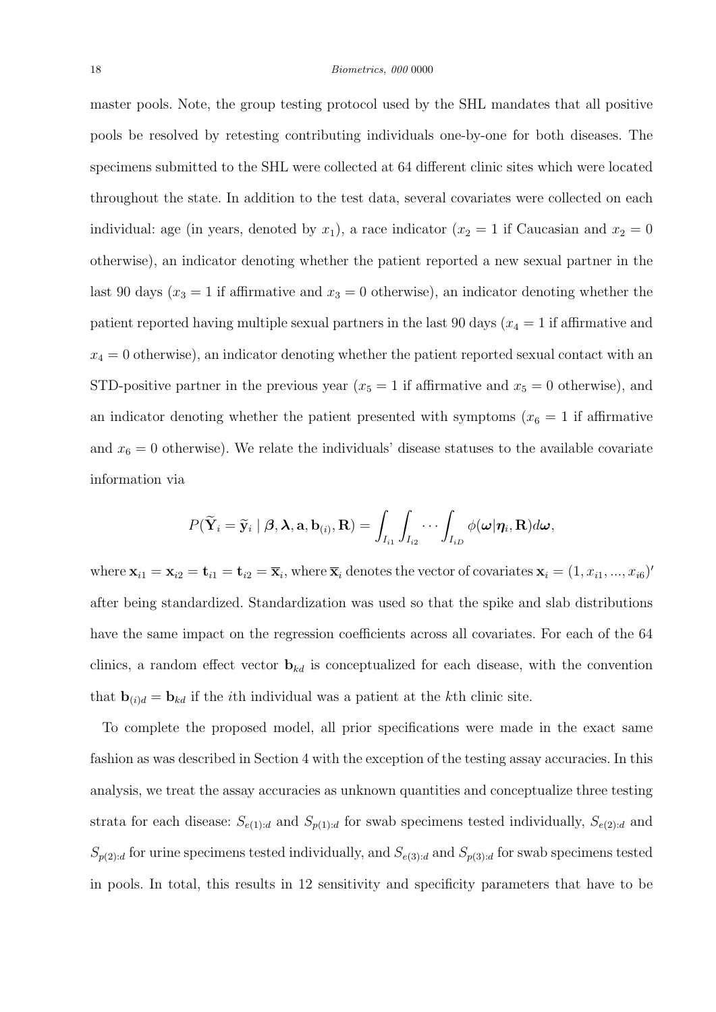master pools. Note, the group testing protocol used by the SHL mandates that all positive pools be resolved by retesting contributing individuals one-by-one for both diseases. The specimens submitted to the SHL were collected at 64 different clinic sites which were located throughout the state. In addition to the test data, several covariates were collected on each individual: age (in years, denoted by  $x_1$ ), a race indicator ( $x_2 = 1$  if Caucasian and  $x_2 = 0$ otherwise), an indicator denoting whether the patient reported a new sexual partner in the last 90 days ( $x_3 = 1$  if affirmative and  $x_3 = 0$  otherwise), an indicator denoting whether the patient reported having multiple sexual partners in the last 90 days ( $x_4 = 1$  if affirmative and  $x_4 = 0$  otherwise), an indicator denoting whether the patient reported sexual contact with an STD-positive partner in the previous year  $(x_5 = 1$  if affirmative and  $x_5 = 0$  otherwise), and an indicator denoting whether the patient presented with symptoms  $(x_6 = 1$  if affirmative and  $x_6 = 0$  otherwise). We relate the individuals' disease statuses to the available covariate information via

$$
P(\widetilde{\mathbf{Y}}_i = \widetilde{\mathbf{y}}_i \mid \boldsymbol{\beta}, \boldsymbol{\lambda}, \mathbf{a}, \mathbf{b}_{(i)}, \mathbf{R}) = \int_{I_{i1}} \int_{I_{i2}} \cdots \int_{I_{iD}} \phi(\boldsymbol{\omega} | \boldsymbol{\eta}_i, \mathbf{R}) d\boldsymbol{\omega},
$$

where  $\mathbf{x}_{i1} = \mathbf{x}_{i2} = \mathbf{t}_{i1} = \mathbf{t}_{i2} = \overline{\mathbf{x}}_i$ , where  $\overline{\mathbf{x}}_i$  denotes the vector of covariates  $\mathbf{x}_i = (1, x_{i1}, ..., x_{i6})'$ after being standardized. Standardization was used so that the spike and slab distributions have the same impact on the regression coefficients across all covariates. For each of the 64 clinics, a random effect vector  $\mathbf{b}_{kd}$  is conceptualized for each disease, with the convention that  $\mathbf{b}_{(i)d} = \mathbf{b}_{kd}$  if the *i*th individual was a patient at the *k*th clinic site.

To complete the proposed model, all prior specifications were made in the exact same fashion as was described in Section 4 with the exception of the testing assay accuracies. In this analysis, we treat the assay accuracies as unknown quantities and conceptualize three testing strata for each disease:  $S_{e(1):d}$  and  $S_{p(1):d}$  for swab specimens tested individually,  $S_{e(2):d}$  and  $S_{p(2):d}$  for urine specimens tested individually, and  $S_{e(3):d}$  and  $S_{p(3):d}$  for swab specimens tested in pools. In total, this results in 12 sensitivity and specificity parameters that have to be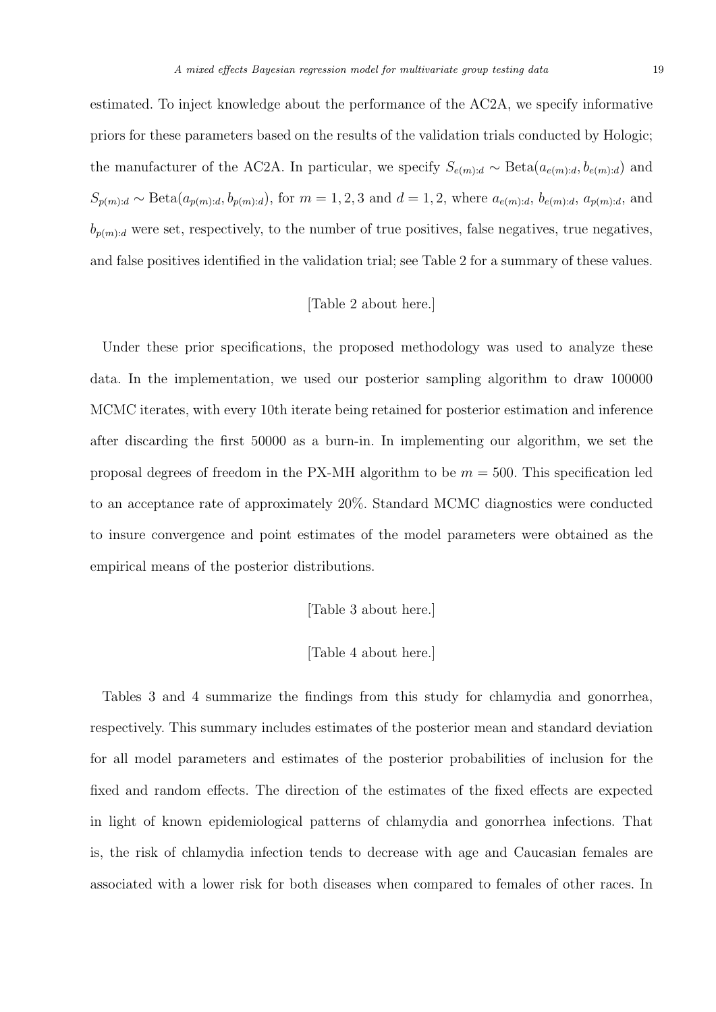estimated. To inject knowledge about the performance of the AC2A, we specify informative priors for these parameters based on the results of the validation trials conducted by Hologic; the manufacturer of the AC2A. In particular, we specify  $S_{e(m):d} \sim \text{Beta}(a_{e(m):d}, b_{e(m):d})$  and  $S_{p(m):d} \sim \text{Beta}(a_{p(m):d}, b_{p(m):d})$ , for  $m = 1, 2, 3$  and  $d = 1, 2$ , where  $a_{e(m):d}$ ,  $b_{e(m):d}$ ,  $a_{p(m):d}$ , and  $b_{p(m):d}$  were set, respectively, to the number of true positives, false negatives, true negatives, and false positives identified in the validation trial; see Table 2 for a summary of these values.

# [Table 2 about here.]

Under these prior specifications, the proposed methodology was used to analyze these data. In the implementation, we used our posterior sampling algorithm to draw 100000 MCMC iterates, with every 10th iterate being retained for posterior estimation and inference after discarding the first 50000 as a burn-in. In implementing our algorithm, we set the proposal degrees of freedom in the PX-MH algorithm to be  $m = 500$ . This specification led to an acceptance rate of approximately 20%. Standard MCMC diagnostics were conducted to insure convergence and point estimates of the model parameters were obtained as the empirical means of the posterior distributions.

# [Table 3 about here.]

# [Table 4 about here.]

Tables 3 and 4 summarize the findings from this study for chlamydia and gonorrhea, respectively. This summary includes estimates of the posterior mean and standard deviation for all model parameters and estimates of the posterior probabilities of inclusion for the fixed and random effects. The direction of the estimates of the fixed effects are expected in light of known epidemiological patterns of chlamydia and gonorrhea infections. That is, the risk of chlamydia infection tends to decrease with age and Caucasian females are associated with a lower risk for both diseases when compared to females of other races. In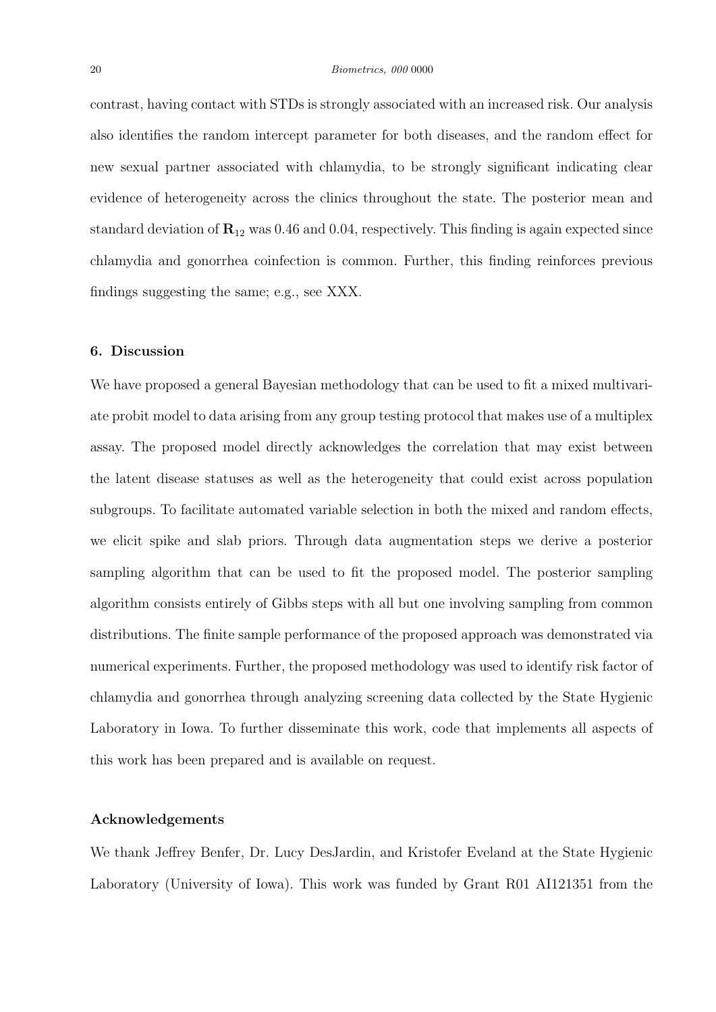contrast, having contact with STDs is strongly associated with an increased risk. Our analysis also identifies the random intercept parameter for both diseases, and the random effect for new sexual partner associated with chlamydia, to be strongly significant indicating clear evidence of heterogeneity across the clinics throughout the state. The posterior mean and standard deviation of  $\mathbb{R}_{12}$  was 0.46 and 0.04, respectively. This finding is again expected since chlamydia and gonorrhea coinfection is common. Further, this finding reinforces previous findings suggesting the same; e.g., see XXX.

## 6. Discussion

We have proposed a general Bayesian methodology that can be used to fit a mixed multivariate probit model to data arising from any group testing protocol that makes use of a multiplex assay. The proposed model directly acknowledges the correlation that may exist between the latent disease statuses as well as the heterogeneity that could exist across population subgroups. To facilitate automated variable selection in both the mixed and random effects, we elicit spike and slab priors. Through data augmentation steps we derive a posterior sampling algorithm that can be used to fit the proposed model. The posterior sampling algorithm consists entirely of Gibbs steps with all but one involving sampling from common distributions. The finite sample performance of the proposed approach was demonstrated via numerical experiments. Further, the proposed methodology was used to identify risk factor of chlamydia and gonorrhea through analyzing screening data collected by the State Hygienic Laboratory in Iowa. To further disseminate this work, code that implements all aspects of this work has been prepared and is available on request.

### Acknowledgements

We thank Jeffrey Benfer, Dr. Lucy DesJardin, and Kristofer Eveland at the State Hygienic Laboratory (University of Iowa). This work was funded by Grant R01 AI121351 from the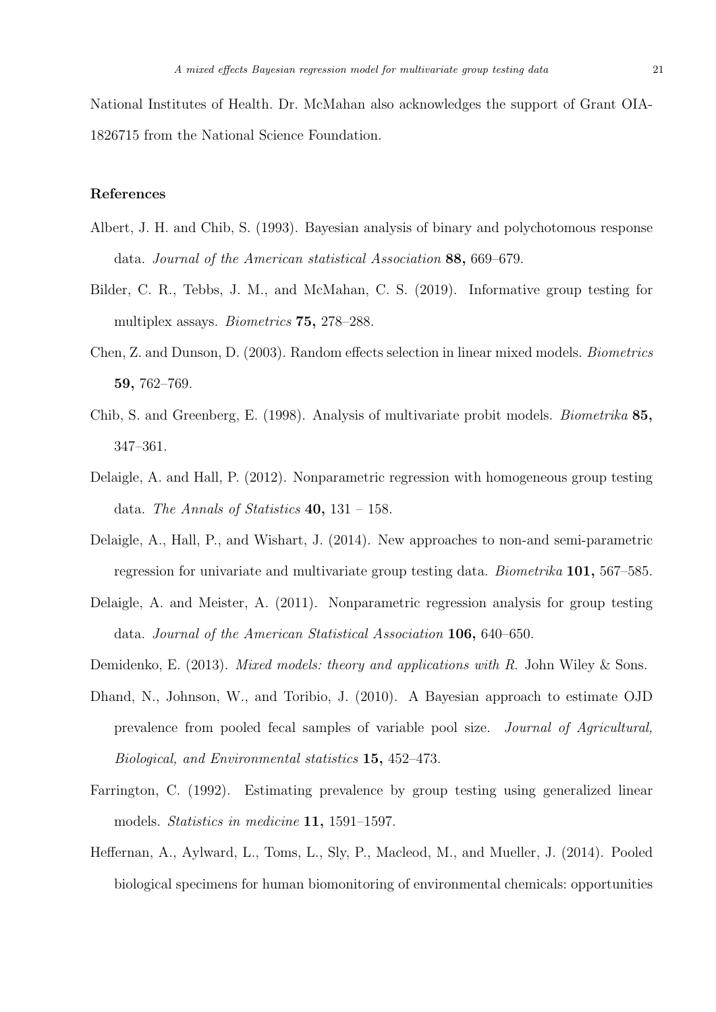National Institutes of Health. Dr. McMahan also acknowledges the support of Grant OIA-1826715 from the National Science Foundation.

# References

- Albert, J. H. and Chib, S. (1993). Bayesian analysis of binary and polychotomous response data. Journal of the American statistical Association 88, 669–679.
- Bilder, C. R., Tebbs, J. M., and McMahan, C. S. (2019). Informative group testing for multiplex assays. Biometrics 75, 278–288.
- Chen, Z. and Dunson, D. (2003). Random effects selection in linear mixed models. Biometrics 59, 762–769.
- Chib, S. and Greenberg, E. (1998). Analysis of multivariate probit models. Biometrika 85, 347–361.
- Delaigle, A. and Hall, P. (2012). Nonparametric regression with homogeneous group testing data. The Annals of Statistics  $40, 131 - 158$ .
- Delaigle, A., Hall, P., and Wishart, J. (2014). New approaches to non-and semi-parametric regression for univariate and multivariate group testing data. Biometrika 101, 567–585.
- Delaigle, A. and Meister, A. (2011). Nonparametric regression analysis for group testing data. Journal of the American Statistical Association 106, 640–650.
- Demidenko, E. (2013). Mixed models: theory and applications with R. John Wiley & Sons.
- Dhand, N., Johnson, W., and Toribio, J. (2010). A Bayesian approach to estimate OJD prevalence from pooled fecal samples of variable pool size. Journal of Agricultural, Biological, and Environmental statistics 15, 452–473.
- Farrington, C. (1992). Estimating prevalence by group testing using generalized linear models. *Statistics in medicine* **11**, 1591–1597.
- Heffernan, A., Aylward, L., Toms, L., Sly, P., Macleod, M., and Mueller, J. (2014). Pooled biological specimens for human biomonitoring of environmental chemicals: opportunities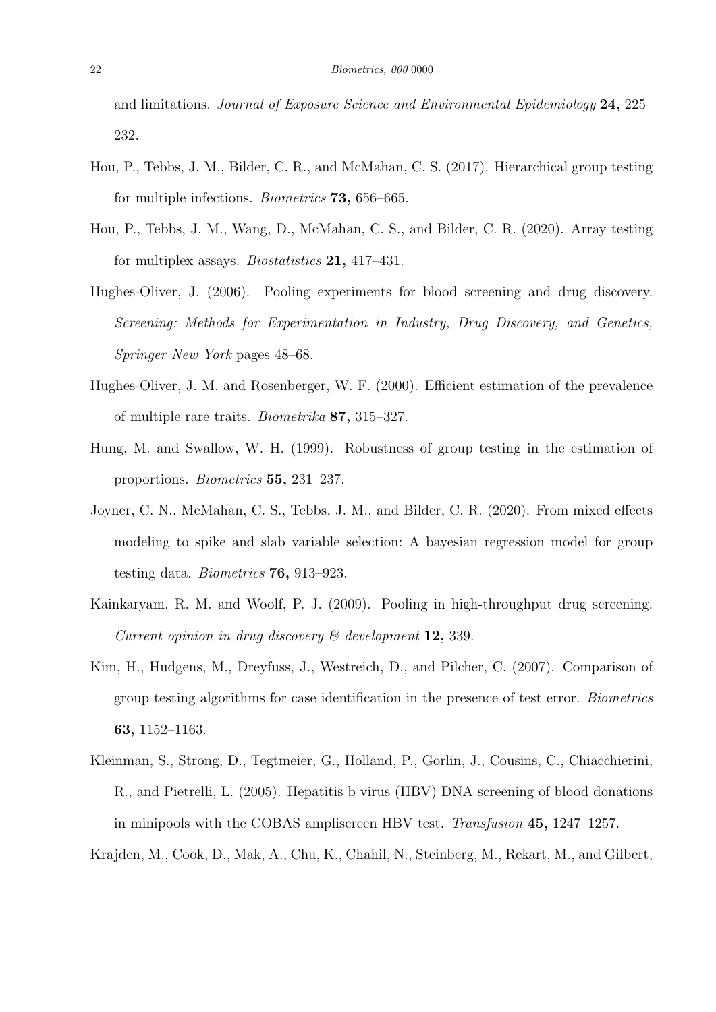and limitations. Journal of Exposure Science and Environmental Epidemiology 24, 225– 232.

- Hou, P., Tebbs, J. M., Bilder, C. R., and McMahan, C. S. (2017). Hierarchical group testing for multiple infections. Biometrics 73, 656–665.
- Hou, P., Tebbs, J. M., Wang, D., McMahan, C. S., and Bilder, C. R. (2020). Array testing for multiplex assays. Biostatistics 21, 417–431.
- Hughes-Oliver, J. (2006). Pooling experiments for blood screening and drug discovery. Screening: Methods for Experimentation in Industry, Drug Discovery, and Genetics, Springer New York pages 48–68.
- Hughes-Oliver, J. M. and Rosenberger, W. F. (2000). Efficient estimation of the prevalence of multiple rare traits. Biometrika 87, 315–327.
- Hung, M. and Swallow, W. H. (1999). Robustness of group testing in the estimation of proportions. Biometrics 55, 231–237.
- Joyner, C. N., McMahan, C. S., Tebbs, J. M., and Bilder, C. R. (2020). From mixed effects modeling to spike and slab variable selection: A bayesian regression model for group testing data. Biometrics 76, 913–923.
- Kainkaryam, R. M. and Woolf, P. J. (2009). Pooling in high-throughput drug screening. Current opinion in drug discovery  $\mathcal C$  development 12, 339.
- Kim, H., Hudgens, M., Dreyfuss, J., Westreich, D., and Pilcher, C. (2007). Comparison of group testing algorithms for case identification in the presence of test error. Biometrics 63, 1152–1163.
- Kleinman, S., Strong, D., Tegtmeier, G., Holland, P., Gorlin, J., Cousins, C., Chiacchierini, R., and Pietrelli, L. (2005). Hepatitis b virus (HBV) DNA screening of blood donations in minipools with the COBAS ampliscreen HBV test. Transfusion 45, 1247–1257.

Krajden, M., Cook, D., Mak, A., Chu, K., Chahil, N., Steinberg, M., Rekart, M., and Gilbert,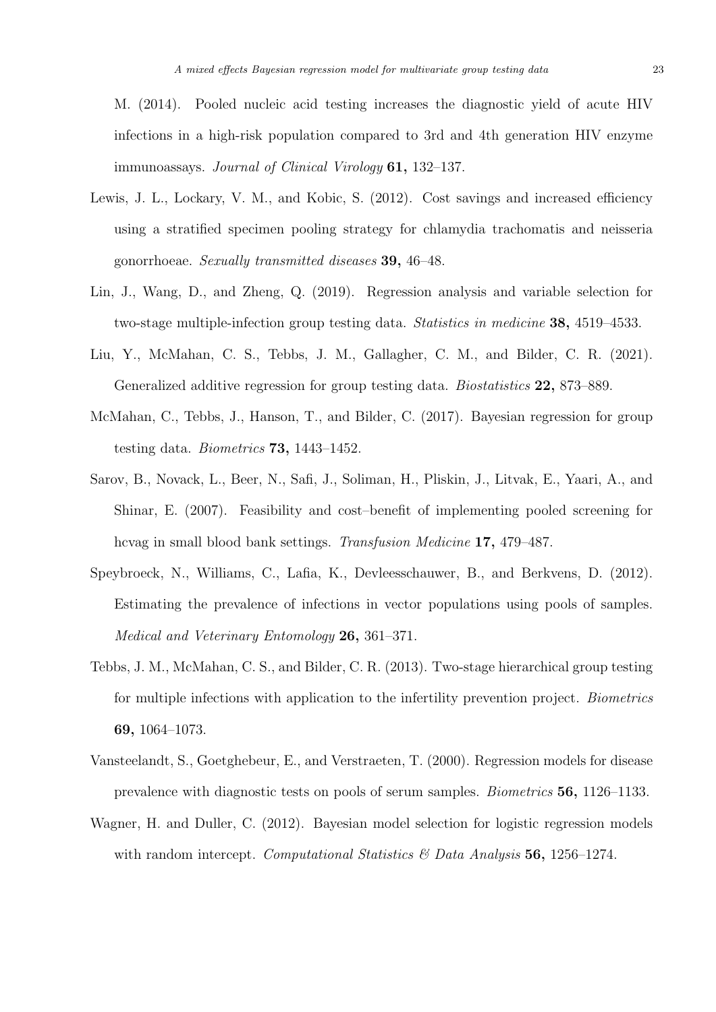M. (2014). Pooled nucleic acid testing increases the diagnostic yield of acute HIV infections in a high-risk population compared to 3rd and 4th generation HIV enzyme immunoassays. Journal of Clinical Virology 61, 132–137.

- Lewis, J. L., Lockary, V. M., and Kobic, S. (2012). Cost savings and increased efficiency using a stratified specimen pooling strategy for chlamydia trachomatis and neisseria gonorrhoeae. Sexually transmitted diseases 39, 46–48.
- Lin, J., Wang, D., and Zheng, Q. (2019). Regression analysis and variable selection for two-stage multiple-infection group testing data. Statistics in medicine 38, 4519–4533.
- Liu, Y., McMahan, C. S., Tebbs, J. M., Gallagher, C. M., and Bilder, C. R. (2021). Generalized additive regression for group testing data. Biostatistics 22, 873–889.
- McMahan, C., Tebbs, J., Hanson, T., and Bilder, C. (2017). Bayesian regression for group testing data. Biometrics 73, 1443–1452.
- Sarov, B., Novack, L., Beer, N., Safi, J., Soliman, H., Pliskin, J., Litvak, E., Yaari, A., and Shinar, E. (2007). Feasibility and cost–benefit of implementing pooled screening for hcvag in small blood bank settings. Transfusion Medicine 17, 479–487.
- Speybroeck, N., Williams, C., Lafia, K., Devleesschauwer, B., and Berkvens, D. (2012). Estimating the prevalence of infections in vector populations using pools of samples. Medical and Veterinary Entomology 26, 361–371.
- Tebbs, J. M., McMahan, C. S., and Bilder, C. R. (2013). Two-stage hierarchical group testing for multiple infections with application to the infertility prevention project. Biometrics 69, 1064–1073.
- Vansteelandt, S., Goetghebeur, E., and Verstraeten, T. (2000). Regression models for disease prevalence with diagnostic tests on pools of serum samples. Biometrics 56, 1126–1133.
- Wagner, H. and Duller, C. (2012). Bayesian model selection for logistic regression models with random intercept. Computational Statistics  $\mathcal{B}$  Data Analysis 56, 1256–1274.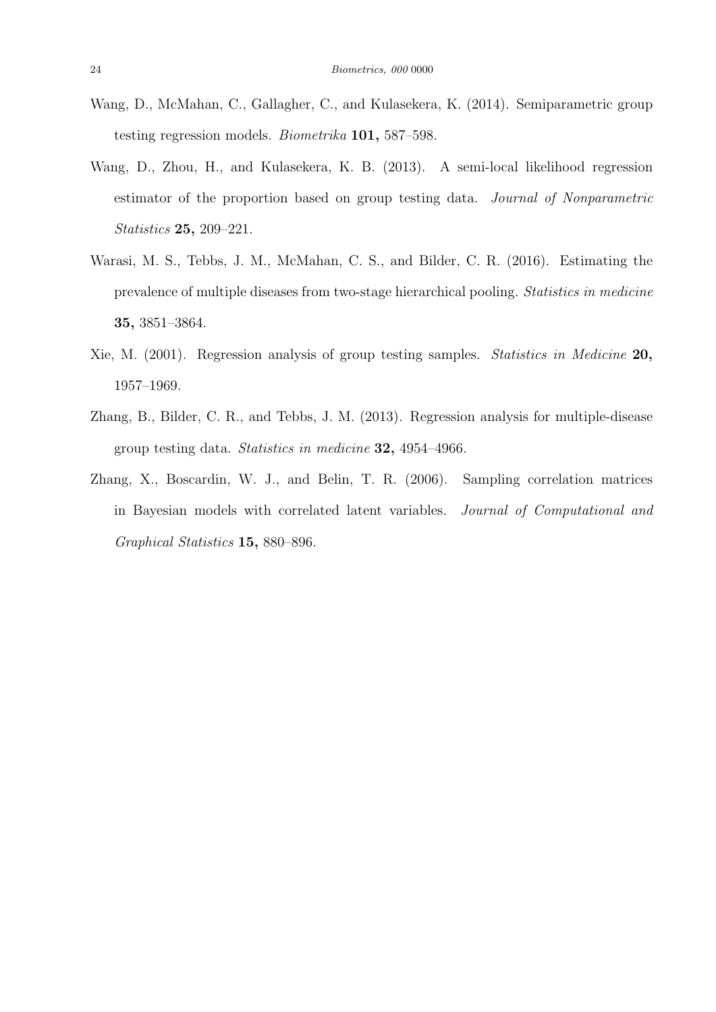- Wang, D., McMahan, C., Gallagher, C., and Kulasekera, K. (2014). Semiparametric group testing regression models. Biometrika 101, 587–598.
- Wang, D., Zhou, H., and Kulasekera, K. B. (2013). A semi-local likelihood regression estimator of the proportion based on group testing data. Journal of Nonparametric Statistics 25, 209–221.
- Warasi, M. S., Tebbs, J. M., McMahan, C. S., and Bilder, C. R. (2016). Estimating the prevalence of multiple diseases from two-stage hierarchical pooling. Statistics in medicine 35, 3851–3864.
- Xie, M. (2001). Regression analysis of group testing samples. Statistics in Medicine 20, 1957–1969.
- Zhang, B., Bilder, C. R., and Tebbs, J. M. (2013). Regression analysis for multiple-disease group testing data. Statistics in medicine 32, 4954–4966.
- Zhang, X., Boscardin, W. J., and Belin, T. R. (2006). Sampling correlation matrices in Bayesian models with correlated latent variables. Journal of Computational and Graphical Statistics 15, 880–896.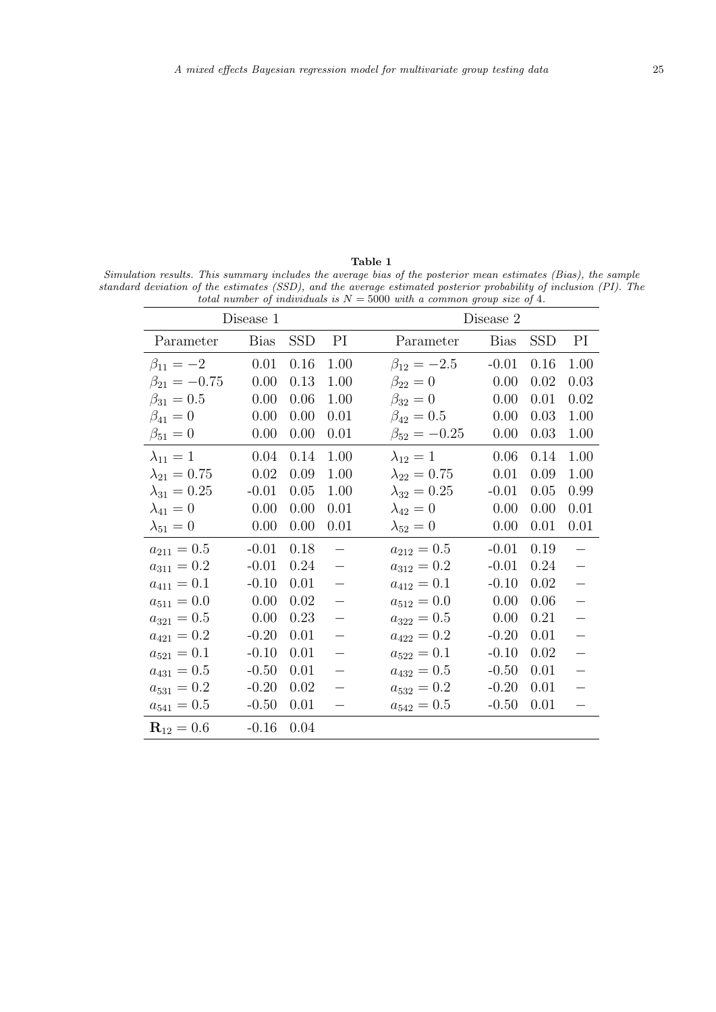Table 1 Simulation results. This summary includes the average bias of the posterior mean estimates (Bias), the sample standard deviation of the estimates (SSD), and the average estimated posterior probability of inclusion (PI). The total number of individuals is  $N = 5000$  with a common group size of 4.

| Disease 1             |             |            |                          | Disease 2             |             |            |                          |  |
|-----------------------|-------------|------------|--------------------------|-----------------------|-------------|------------|--------------------------|--|
| Parameter             | <b>Bias</b> | <b>SSD</b> | PI                       | Parameter             | <b>Bias</b> | <b>SSD</b> | PI                       |  |
| $\beta_{11} = -2$     | 0.01        | 0.16       | 1.00                     | $\beta_{12} = -2.5$   | $-0.01$     | 0.16       | 1.00                     |  |
| $\beta_{21} = -0.75$  | 0.00        | 0.13       | 1.00                     | $\beta_{22}=0$        | 0.00        | 0.02       | 0.03                     |  |
| $\beta_{31} = 0.5$    | 0.00        | 0.06       | 1.00                     | $\beta_{32} = 0$      | 0.00        | 0.01       | 0.02                     |  |
| $\beta_{41} = 0$      | 0.00        | 0.00       | 0.01                     | $\beta_{42} = 0.5$    | 0.00        | 0.03       | 1.00                     |  |
| $\beta_{51} = 0$      | 0.00        | 0.00       | 0.01                     | $\beta_{52} = -0.25$  | 0.00        | 0.03       | 1.00                     |  |
| $\lambda_{11}=1$      | 0.04        | 0.14       | 1.00                     | $\lambda_{12}=1$      | 0.06        | 0.14       | 1.00                     |  |
| $\lambda_{21} = 0.75$ | 0.02        | 0.09       | 1.00                     | $\lambda_{22} = 0.75$ | 0.01        | 0.09       | 1.00                     |  |
| $\lambda_{31} = 0.25$ | $-0.01$     | 0.05       | 1.00                     | $\lambda_{32} = 0.25$ | $-0.01$     | 0.05       | 0.99                     |  |
| $\lambda_{41}=0$      | 0.00        | 0.00       | 0.01                     | $\lambda_{42}=0$      | 0.00        | 0.00       | 0.01                     |  |
| $\lambda_{51}=0$      | 0.00        | 0.00       | 0.01                     | $\lambda_{52}=0$      | 0.00        | 0.01       | 0.01                     |  |
| $a_{211} = 0.5$       | $-0.01$     | 0.18       | $\overline{\phantom{0}}$ | $a_{212}=0.5$         | $-0.01$     | 0.19       |                          |  |
| $a_{311} = 0.2$       | $-0.01$     | 0.24       |                          | $a_{312} = 0.2$       | $-0.01$     | 0.24       |                          |  |
| $a_{411}=0.1\,$       | $-0.10$     | 0.01       | $\overline{\phantom{0}}$ | $a_{412}=0.1$         | $-0.10$     | 0.02       | $\overline{\phantom{0}}$ |  |
| $a_{511} = 0.0$       | 0.00        | 0.02       |                          | $a_{512}=0.0$         | 0.00        | 0.06       |                          |  |
| $a_{321} = 0.5$       | 0.00        | 0.23       | $\overline{\phantom{0}}$ | $a_{322}=0.5$         | 0.00        | 0.21       | $\overline{\phantom{0}}$ |  |
| $a_{421} = 0.2$       | $-0.20$     | 0.01       |                          | $a_{422}=0.2$         | $-0.20$     | 0.01       | $\overline{\phantom{0}}$ |  |
| $a_{521} = 0.1$       | $-0.10$     | 0.01       | $\overline{\phantom{0}}$ | $a_{522} = 0.1$       | $-0.10$     | 0.02       | $\overline{\phantom{0}}$ |  |
| $a_{431} = 0.5$       | $-0.50$     | 0.01       |                          | $a_{432}=0.5$         | $-0.50$     | 0.01       |                          |  |
| $a_{531} = 0.2$       | $-0.20$     | 0.02       |                          | $a_{532} = 0.2$       | $-0.20$     | 0.01       |                          |  |
| $a_{541} = 0.5$       | $-0.50$     | 0.01       |                          | $a_{542} = 0.5$       | $-0.50$     | 0.01       |                          |  |
| $R12 = 0.6$           | $-0.16$     | 0.04       |                          |                       |             |            |                          |  |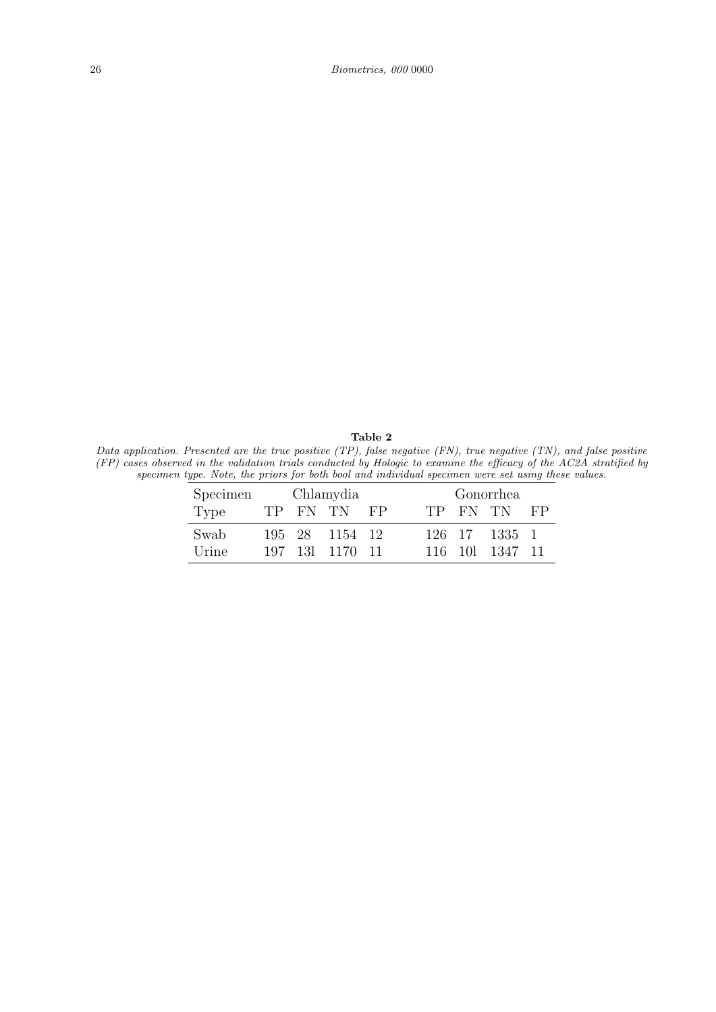Table 2 Data application. Presented are the true positive (TP), false negative (FN), true negative (TN), and false positive (FP) cases observed in the validation trials conducted by Hologic to examine the efficacy of the AC2A stratified by specimen type. Note, the priors for both bool and individual specimen were set using these values.

| Specimen | Chlamydia |  |                | Gonorrhea |  |  |                |    |
|----------|-----------|--|----------------|-----------|--|--|----------------|----|
| Type     |           |  | TP FN TN       | <b>FP</b> |  |  | TP FN TN       | FP |
| Swab     |           |  | 195 28 1154 12 |           |  |  | 126 17 1335 1  |    |
| Urine    |           |  | 197 13 1170 11 |           |  |  | 116 10 1347 11 |    |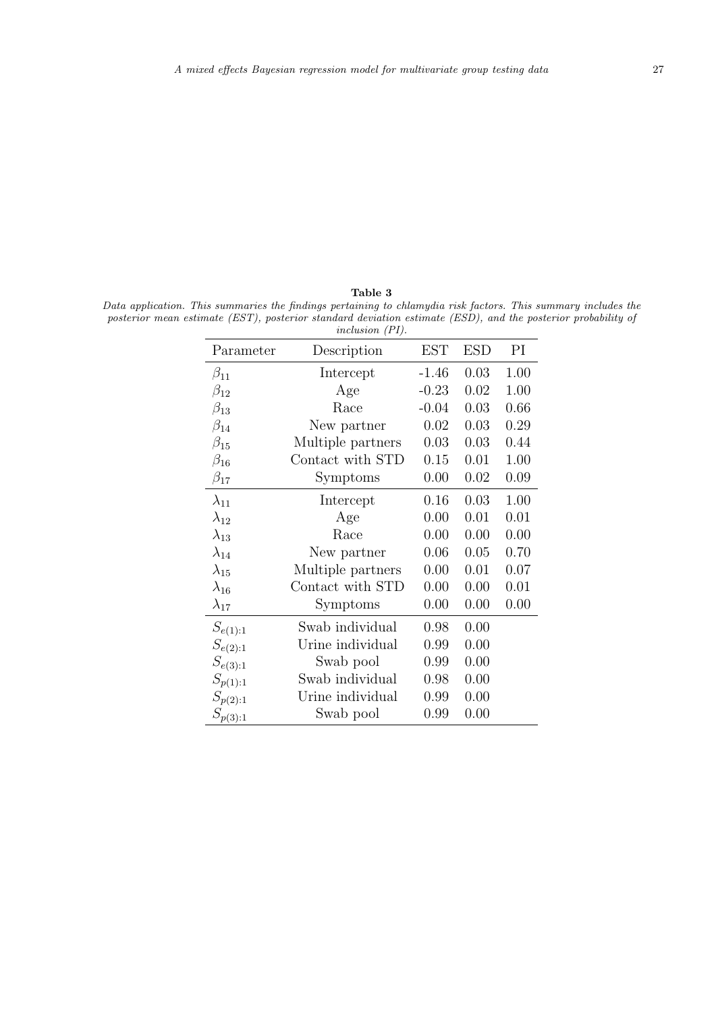Table 3 Data application. This summaries the findings pertaining to chlamydia risk factors. This summary includes the posterior mean estimate (EST), posterior standard deviation estimate (ESD), and the posterior probability of inclusion (PI).

|                | $i$ - <i>iu</i> - <i>iusivii</i> $\left($ <i>i</i> <sub>1</sub> <i>i</i> . |            |            |      |
|----------------|----------------------------------------------------------------------------|------------|------------|------|
| Parameter      | Description                                                                | <b>EST</b> | <b>ESD</b> | PI   |
| $\beta_{11}$   | Intercept                                                                  | $-1.46$    | 0.03       | 1.00 |
| $\beta_{12}$   | Age                                                                        | $-0.23$    | 0.02       | 1.00 |
| $\beta_{13}$   | Race                                                                       | $-0.04$    | 0.03       | 0.66 |
| $\beta_{14}$   | New partner                                                                | 0.02       | 0.03       | 0.29 |
| $\beta_{15}$   | Multiple partners                                                          | 0.03       | 0.03       | 0.44 |
| $\beta_{16}$   | Contact with STD                                                           | 0.15       | 0.01       | 1.00 |
| $\beta_{17}$   | Symptoms                                                                   | 0.00       | 0.02       | 0.09 |
| $\lambda_{11}$ | Intercept                                                                  | 0.16       | 0.03       | 1.00 |
| $\lambda_{12}$ | Age                                                                        | 0.00       | 0.01       | 0.01 |
| $\lambda_{13}$ | Race                                                                       | 0.00       | 0.00       | 0.00 |
| $\lambda_{14}$ | New partner                                                                | 0.06       | 0.05       | 0.70 |
| $\lambda_{15}$ | Multiple partners                                                          | 0.00       | 0.01       | 0.07 |
| $\lambda_{16}$ | Contact with STD                                                           | 0.00       | 0.00       | 0.01 |
| $\lambda_{17}$ | Symptoms                                                                   | 0.00       | 0.00       | 0.00 |
| $S_{e(1):1}$   | Swab individual                                                            | 0.98       | 0.00       |      |
| $S_{e(2):1}$   | Urine individual                                                           | 0.99       | 0.00       |      |
| $S_{e(3):1}$   | Swab pool                                                                  | 0.99       | 0.00       |      |
| $S_{p(1):1}$   | Swab individual                                                            | 0.98       | 0.00       |      |
| $S_{p(2):1}$   | Urine individual                                                           | 0.99       | 0.00       |      |
| $S_{p(3):1}$   | Swab pool                                                                  | 0.99       | 0.00       |      |